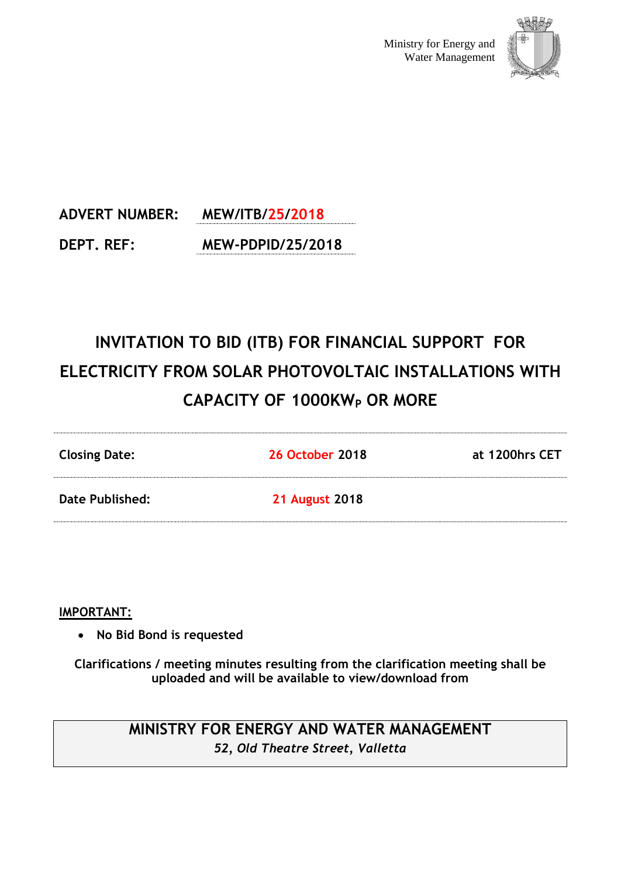

# **ADVERT NUMBER: MEW/ITB/25/2018 DEPT. REF: MEW-PDPID/25/2018**

# **INVITATION TO BID (ITB) FOR FINANCIAL SUPPORT FOR ELECTRICITY FROM SOLAR PHOTOVOLTAIC INSTALLATIONS WITH CAPACITY OF 1000KW<sup>P</sup> OR MORE**

| <b>Closing Date:</b> | <b>26 October 2018</b> | at 1200hrs CET |
|----------------------|------------------------|----------------|
| Date Published:      | <b>21 August 2018</b>  |                |

# **IMPORTANT:**

**No Bid Bond is requested**

**Clarifications / meeting minutes resulting from the clarification meeting shall be uploaded and will be available to view/download from** 

# **MINISTRY FOR ENERGY AND WATER MANAGEMENT** *52, Old Theatre Street, Valletta*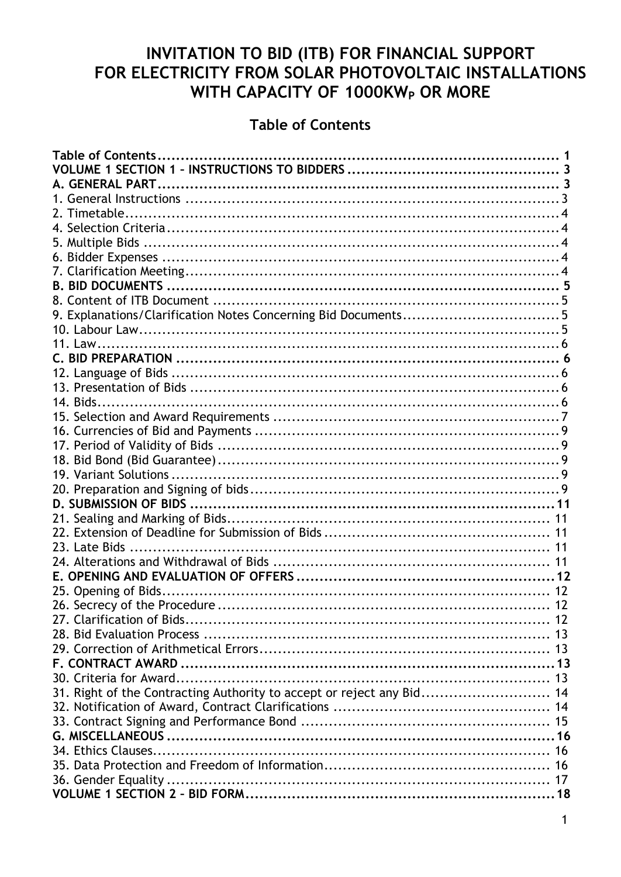# INVITATION TO BID (ITB) FOR FINANCIAL SUPPORT FOR ELECTRICITY FROM SOLAR PHOTOVOLTAIC INSTALLATIONS WITH CAPACITY OF 1000KW<sub>P</sub> OR MORE

# **Table of Contents**

<span id="page-1-0"></span>

| 9. Explanations/Clarification Notes Concerning Bid Documents5         |  |
|-----------------------------------------------------------------------|--|
|                                                                       |  |
|                                                                       |  |
|                                                                       |  |
|                                                                       |  |
|                                                                       |  |
|                                                                       |  |
|                                                                       |  |
|                                                                       |  |
|                                                                       |  |
|                                                                       |  |
|                                                                       |  |
|                                                                       |  |
|                                                                       |  |
|                                                                       |  |
|                                                                       |  |
|                                                                       |  |
|                                                                       |  |
|                                                                       |  |
|                                                                       |  |
|                                                                       |  |
|                                                                       |  |
|                                                                       |  |
|                                                                       |  |
|                                                                       |  |
| 31. Right of the Contracting Authority to accept or reject any Bid 14 |  |
|                                                                       |  |
|                                                                       |  |
|                                                                       |  |
|                                                                       |  |
|                                                                       |  |
|                                                                       |  |
|                                                                       |  |
|                                                                       |  |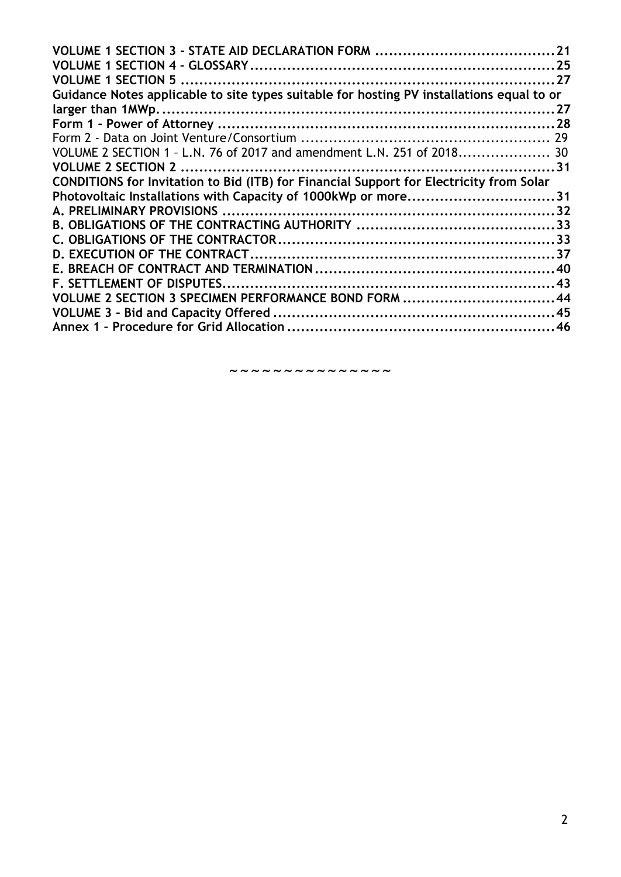| Guidance Notes applicable to site types suitable for hosting PV installations equal to or |  |
|-------------------------------------------------------------------------------------------|--|
|                                                                                           |  |
|                                                                                           |  |
|                                                                                           |  |
| VOLUME 2 SECTION 1 - L.N. 76 of 2017 and amendment L.N. 251 of 2018 30                    |  |
|                                                                                           |  |
| CONDITIONS for Invitation to Bid (ITB) for Financial Support for Electricity from Solar   |  |
| Photovoltaic Installations with Capacity of 1000kWp or more31                             |  |
|                                                                                           |  |
|                                                                                           |  |
|                                                                                           |  |
|                                                                                           |  |
|                                                                                           |  |
|                                                                                           |  |
| VOLUME 2 SECTION 3 SPECIMEN PERFORMANCE BOND FORM 44                                      |  |
|                                                                                           |  |
|                                                                                           |  |
|                                                                                           |  |

~~~~~~~~~~~~~~~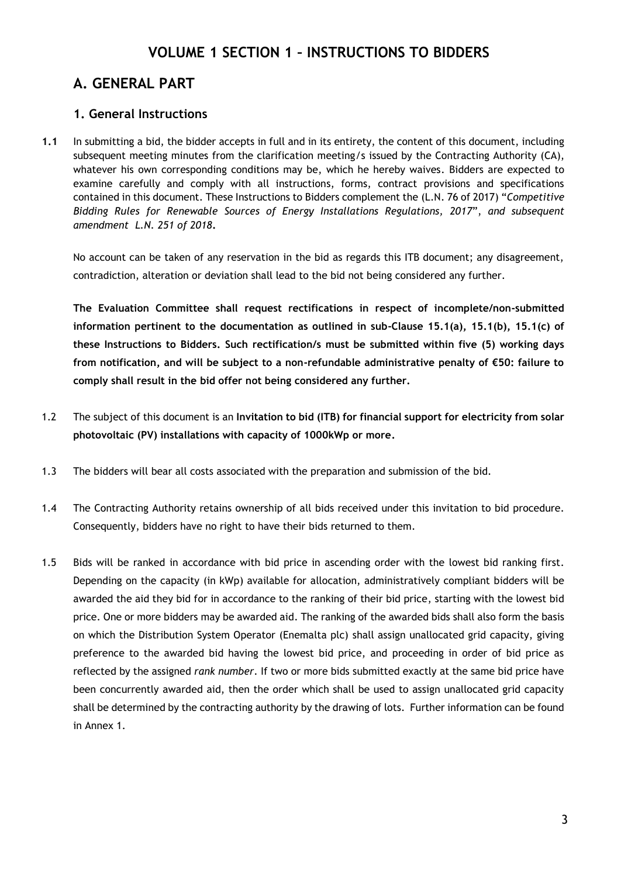# **VOLUME 1 SECTION 1 – INSTRUCTIONS TO BIDDERS**

# <span id="page-3-1"></span><span id="page-3-0"></span>**A. GENERAL PART**

# <span id="page-3-2"></span>**1. General Instructions**

**1.1** In submitting a bid, the bidder accepts in full and in its entirety, the content of this document, including subsequent meeting minutes from the clarification meeting/s issued by the Contracting Authority (CA), whatever his own corresponding conditions may be, which he hereby waives. Bidders are expected to examine carefully and comply with all instructions, forms, contract provisions and specifications contained in this document. These Instructions to Bidders complement the (L.N. 76 of 2017) "*Competitive Bidding Rules for Renewable Sources of Energy Installations Regulations, 2017*", *and subsequent amendment L.N. 251 of 2018***.**

No account can be taken of any reservation in the bid as regards this ITB document; any disagreement, contradiction, alteration or deviation shall lead to the bid not being considered any further.

**The Evaluation Committee shall request rectifications in respect of incomplete/non-submitted information pertinent to the documentation as outlined in sub-Clause 15.1(a), 15.1(b), 15.1(c) of these Instructions to Bidders. Such rectification/s must be submitted within five (5) working days from notification, and will be subject to a non-refundable administrative penalty of €50: failure to comply shall result in the bid offer not being considered any further.**

- 1.2 The subject of this document is an **Invitation to bid (ITB) for financial support for electricity from solar photovoltaic (PV) installations with capacity of 1000kWp or more.**
- 1.3 The bidders will bear all costs associated with the preparation and submission of the bid.
- 1.4 The Contracting Authority retains ownership of all bids received under this invitation to bid procedure. Consequently, bidders have no right to have their bids returned to them.
- 1.5 Bids will be ranked in accordance with bid price in ascending order with the lowest bid ranking first. Depending on the capacity (in kWp) available for allocation, administratively compliant bidders will be awarded the aid they bid for in accordance to the ranking of their bid price, starting with the lowest bid price. One or more bidders may be awarded aid. The ranking of the awarded bids shall also form the basis on which the Distribution System Operator (Enemalta plc) shall assign unallocated grid capacity, giving preference to the awarded bid having the lowest bid price, and proceeding in order of bid price as reflected by the assigned *rank number*. If two or more bids submitted exactly at the same bid price have been concurrently awarded aid, then the order which shall be used to assign unallocated grid capacity shall be determined by the contracting authority by the drawing of lots. Further information can be found in Annex 1.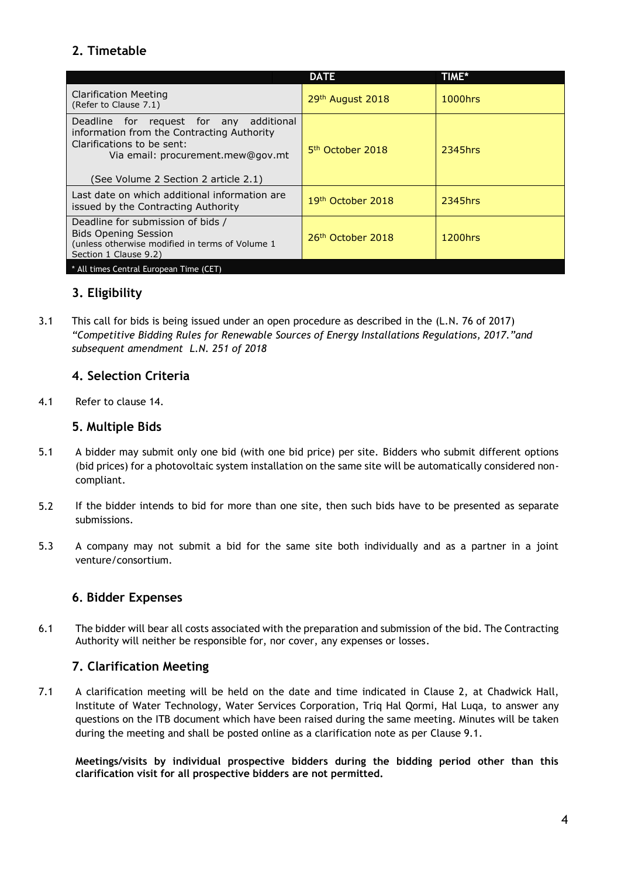# <span id="page-4-0"></span>**2. Timetable**

|                                                                                                                                                                                                     | <b>DATE</b>                   | <b>TIME*</b> |
|-----------------------------------------------------------------------------------------------------------------------------------------------------------------------------------------------------|-------------------------------|--------------|
| <b>Clarification Meeting</b><br>(Refer to Clause 7.1)                                                                                                                                               | 29 <sup>th</sup> August 2018  | 1000hrs      |
| additional<br>Deadline for request for any<br>information from the Contracting Authority<br>Clarifications to be sent:<br>Via email: procurement.mew@gov.mt<br>(See Volume 2 Section 2 article 2.1) | 5 <sup>th</sup> October 2018  | 2345hrs      |
| Last date on which additional information are<br>issued by the Contracting Authority                                                                                                                | 19 <sup>th</sup> October 2018 | 2345hrs      |
| Deadline for submission of bids /<br><b>Bids Opening Session</b><br>(unless otherwise modified in terms of Volume 1)<br>Section 1 Clause 9.2)                                                       | 26 <sup>th</sup> October 2018 | 1200hrs      |
| * All times Central European Time (CET)                                                                                                                                                             |                               |              |

# **3. Eligibility**

3.1 This call for bids is being issued under an open procedure as described in the (L.N. 76 of 2017) *"Competitive Bidding Rules for Renewable Sources of Energy Installations Regulations, 2017."and subsequent amendment L.N. 251 of 2018*

### <span id="page-4-1"></span>**4. Selection Criteria**

4.1 Refer to clause 14.

# <span id="page-4-2"></span>**5. Multiple Bids**

- 5.1 A bidder may submit only one bid (with one bid price) per site. Bidders who submit different options (bid prices) for a photovoltaic system installation on the same site will be automatically considered noncompliant.
- 5.2 If the bidder intends to bid for more than one site, then such bids have to be presented as separate submissions.
- 5.3 A company may not submit a bid for the same site both individually and as a partner in a joint venture/consortium.

### <span id="page-4-3"></span>**6. Bidder Expenses**

6.1 The bidder will bear all costs associated with the preparation and submission of the bid. The Contracting Authority will neither be responsible for, nor cover, any expenses or losses.

### <span id="page-4-4"></span>**7. Clarification Meeting**

7.1 A clarification meeting will be held on the date and time indicated in Clause 2, at Chadwick Hall, Institute of Water Technology, Water Services Corporation, Triq Hal Qormi, Hal Luqa, to answer any questions on the ITB document which have been raised during the same meeting. Minutes will be taken during the meeting and shall be posted online as a clarification note as per Clause 9.1.

**Meetings/visits by individual prospective bidders during the bidding period other than this clarification visit for all prospective bidders are not permitted.**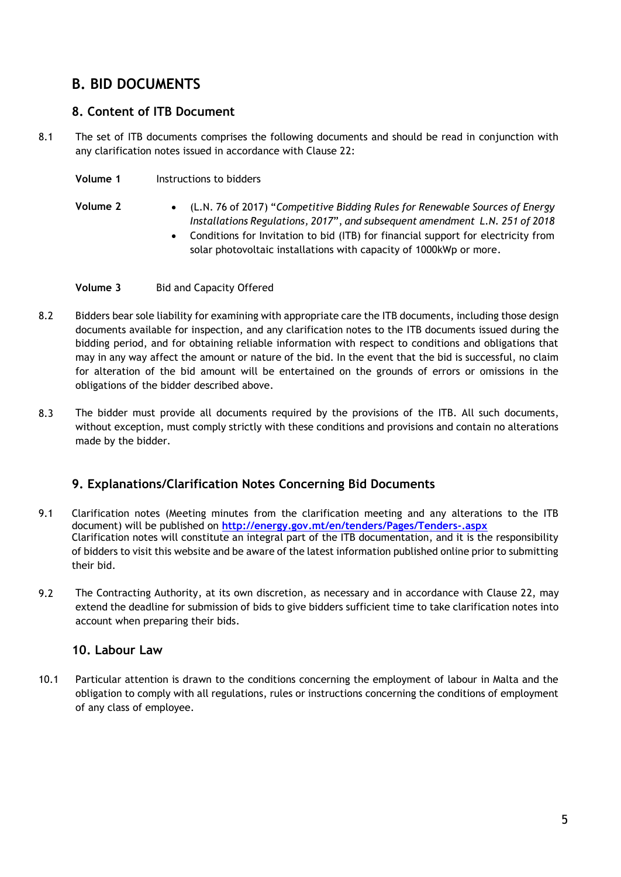# <span id="page-5-0"></span>**B. BID DOCUMENTS**

# <span id="page-5-1"></span>**8. Content of ITB Document**

8.1 The set of ITB documents comprises the following documents and should be read in conjunction with any clarification notes issued in accordance with Clause 22:

- **Volume 1** Instructions to bidders
- **Volume 2** (L.N. 76 of 2017) "*Competitive Bidding Rules for Renewable Sources of Energy Installations Regulations, 2017*", *and subsequent amendment L.N. 251 of 2018*
	- Conditions for Invitation to bid (ITB) for financial support for electricity from solar photovoltaic installations with capacity of 1000kWp or more.
- **Volume 3** Bid and Capacity Offered
- 8.2 Bidders bear sole liability for examining with appropriate care the ITB documents, including those design documents available for inspection, and any clarification notes to the ITB documents issued during the bidding period, and for obtaining reliable information with respect to conditions and obligations that may in any way affect the amount or nature of the bid. In the event that the bid is successful, no claim for alteration of the bid amount will be entertained on the grounds of errors or omissions in the obligations of the bidder described above.
- 8.3 The bidder must provide all documents required by the provisions of the ITB. All such documents, without exception, must comply strictly with these conditions and provisions and contain no alterations made by the bidder.

# <span id="page-5-2"></span>**9. Explanations/Clarification Notes Concerning Bid Documents**

- 9.1 Clarification notes (Meeting minutes from the clarification meeting and any alterations to the ITB document) will be published on **<http://energy.gov.mt/en/tenders/Pages/Tenders-.aspx>** Clarification notes will constitute an integral part of the ITB documentation, and it is the responsibility of bidders to visit this website and be aware of the latest information published online prior to submitting their bid.
- 9.2 The Contracting Authority, at its own discretion, as necessary and in accordance with Clause 22, may extend the deadline for submission of bids to give bidders sufficient time to take clarification notes into account when preparing their bids.

# <span id="page-5-3"></span>**10. Labour Law**

10.1 Particular attention is drawn to the conditions concerning the employment of labour in Malta and the obligation to comply with all regulations, rules or instructions concerning the conditions of employment of any class of employee.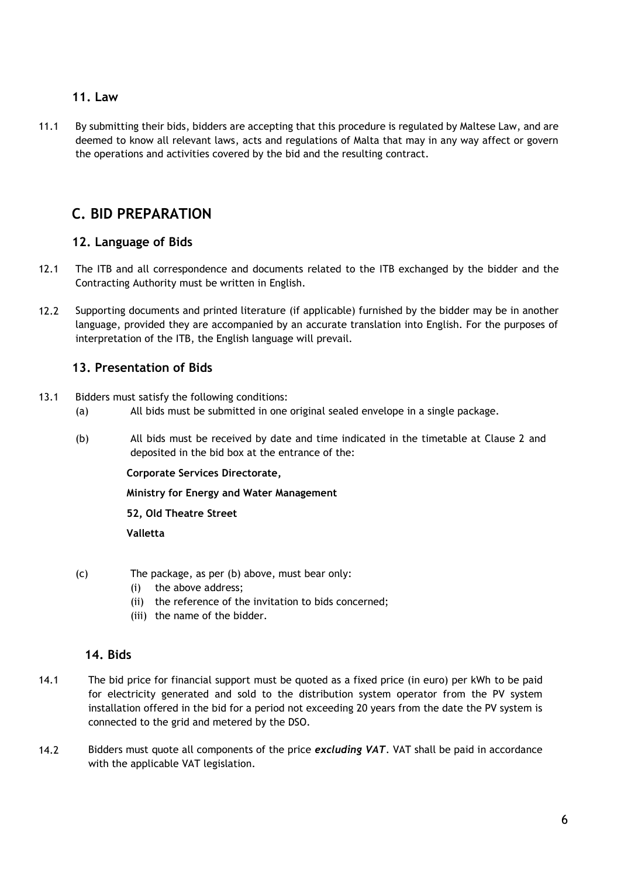### <span id="page-6-0"></span>**11. Law**

11.1 By submitting their bids, bidders are accepting that this procedure is regulated by Maltese Law, and are deemed to know all relevant laws, acts and regulations of Malta that may in any way affect or govern the operations and activities covered by the bid and the resulting contract.

# <span id="page-6-1"></span>**C. BID PREPARATION**

# <span id="page-6-2"></span>**12. Language of Bids**

- 12.1 The ITB and all correspondence and documents related to the ITB exchanged by the bidder and the Contracting Authority must be written in English.
- 12.2 Supporting documents and printed literature (if applicable) furnished by the bidder may be in another language, provided they are accompanied by an accurate translation into English. For the purposes of interpretation of the ITB, the English language will prevail.

# <span id="page-6-3"></span>**13. Presentation of Bids**

- 13.1 Bidders must satisfy the following conditions:
	- (a) All bids must be submitted in one original sealed envelope in a single package.
	- (b) All bids must be received by date and time indicated in the timetable at Clause 2 and deposited in the bid box at the entrance of the:

**Corporate Services Directorate,**

**Ministry for Energy and Water Management**

**52, Old Theatre Street**

**Valletta**

- (c) The package, as per (b) above, must bear only:
	- (i) the above address;
	- (ii) the reference of the invitation to bids concerned;
	- (iii) the name of the bidder.

### <span id="page-6-4"></span>**14. Bids**

- 14.1 The bid price for financial support must be quoted as a fixed price (in euro) per kWh to be paid for electricity generated and sold to the distribution system operator from the PV system installation offered in the bid for a period not exceeding 20 years from the date the PV system is connected to the grid and metered by the DSO.
- 14.2 Bidders must quote all components of the price *excluding VAT*. VAT shall be paid in accordance with the applicable VAT legislation.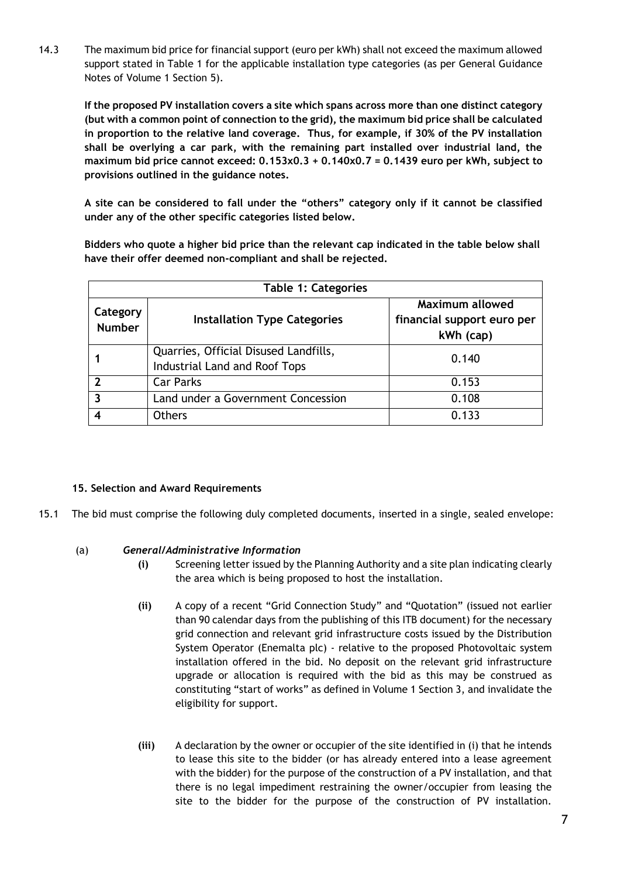14.3 The maximum bid price for financial support (euro per kWh) shall not exceed the maximum allowed support stated in Table 1 for the applicable installation type categories (as per General Guidance Notes of Volume 1 Section 5).

**If the proposed PV installation covers a site which spans across more than one distinct category (but with a common point of connection to the grid), the maximum bid price shall be calculated in proportion to the relative land coverage. Thus, for example, if 30% of the PV installation shall be overlying a car park, with the remaining part installed over industrial land, the maximum bid price cannot exceed: 0.153x0.3 + 0.140x0.7 = 0.1439 euro per kWh, subject to provisions outlined in the guidance notes.** 

**A site can be considered to fall under the "others" category only if it cannot be classified under any of the other specific categories listed below.**

**Bidders who quote a higher bid price than the relevant cap indicated in the table below shall have their offer deemed non-compliant and shall be rejected.**

| <b>Table 1: Categories</b> |                                                                        |                                                            |
|----------------------------|------------------------------------------------------------------------|------------------------------------------------------------|
| Category<br><b>Number</b>  | <b>Installation Type Categories</b>                                    | Maximum allowed<br>financial support euro per<br>kWh (cap) |
|                            | Quarries, Official Disused Landfills,<br>Industrial Land and Roof Tops | 0.140                                                      |
| 2                          | <b>Car Parks</b>                                                       | 0.153                                                      |
| 3                          | Land under a Government Concession                                     | 0.108                                                      |
|                            | <b>Others</b>                                                          | 0.133                                                      |

#### <span id="page-7-0"></span>**15. Selection and Award Requirements**

15.1 The bid must comprise the following duly completed documents, inserted in a single, sealed envelope:

#### (a) *General/Administrative Information*

- **(i)** Screening letter issued by the Planning Authority and a site plan indicating clearly the area which is being proposed to host the installation.
- **(ii)** A copy of a recent "Grid Connection Study" and "Quotation" (issued not earlier than 90 calendar days from the publishing of this ITB document) for the necessary grid connection and relevant grid infrastructure costs issued by the Distribution System Operator (Enemalta plc) - relative to the proposed Photovoltaic system installation offered in the bid. No deposit on the relevant grid infrastructure upgrade or allocation is required with the bid as this may be construed as constituting "start of works" as defined in Volume 1 Section 3, and invalidate the eligibility for support.
- **(iii)** A declaration by the owner or occupier of the site identified in (i) that he intends to lease this site to the bidder (or has already entered into a lease agreement with the bidder) for the purpose of the construction of a PV installation, and that there is no legal impediment restraining the owner/occupier from leasing the site to the bidder for the purpose of the construction of PV installation.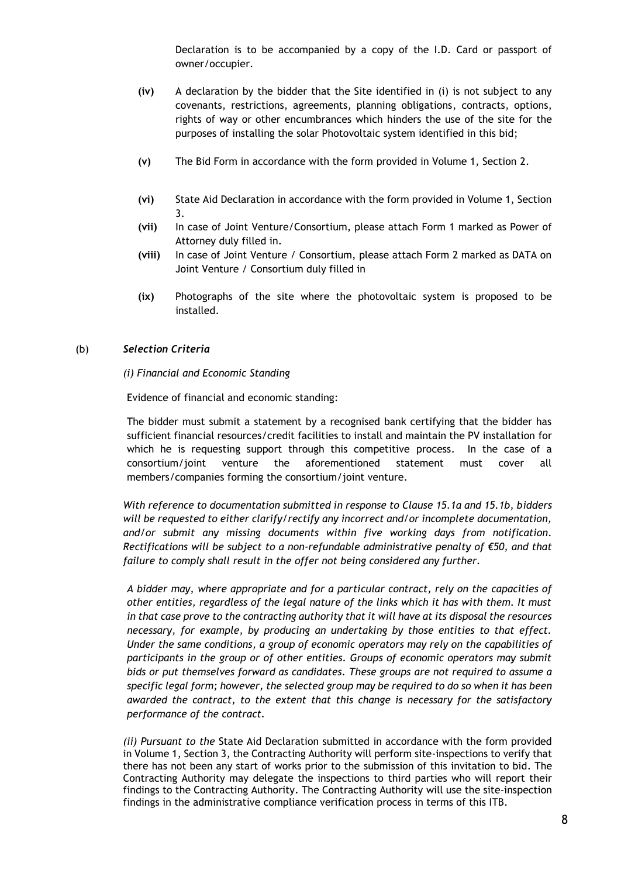Declaration is to be accompanied by a copy of the I.D. Card or passport of owner/occupier.

- **(iv)** A declaration by the bidder that the Site identified in (i) is not subject to any covenants, restrictions, agreements, planning obligations, contracts, options, rights of way or other encumbrances which hinders the use of the site for the purposes of installing the solar Photovoltaic system identified in this bid;
- **(v)** The Bid Form in accordance with the form provided in Volume 1, Section 2.
- **(vi)** State Aid Declaration in accordance with the form provided in Volume 1, Section 3.
- **(vii)** In case of Joint Venture/Consortium, please attach Form 1 marked as Power of Attorney duly filled in.
- **(viii)** In case of Joint Venture / Consortium, please attach Form 2 marked as DATA on Joint Venture / Consortium duly filled in
- **(ix)** Photographs of the site where the photovoltaic system is proposed to be installed.

#### (b) *Selection Criteria*

#### *(i) Financial and Economic Standing*

Evidence of financial and economic standing:

The bidder must submit a statement by a recognised bank certifying that the bidder has sufficient financial resources/credit facilities to install and maintain the PV installation for which he is requesting support through this competitive process. In the case of a consortium/joint venture the aforementioned statement must cover all members/companies forming the consortium/joint venture.

*With reference to documentation submitted in response to Clause 15.1a and 15.1b, bidders will be requested to either clarify/rectify any incorrect and/or incomplete documentation, and/or submit any missing documents within five working days from notification. Rectifications will be subject to a non-refundable administrative penalty of €50, and that failure to comply shall result in the offer not being considered any further.*

*A bidder may, where appropriate and for a particular contract, rely on the capacities of other entities, regardless of the legal nature of the links which it has with them. It must in that case prove to the contracting authority that it will have at its disposal the resources necessary, for example, by producing an undertaking by those entities to that effect. Under the same conditions, a group of economic operators may rely on the capabilities of participants in the group or of other entities. Groups of economic operators may submit bids or put themselves forward as candidates. These groups are not required to assume a specific legal form; however, the selected group may be required to do so when it has been awarded the contract, to the extent that this change is necessary for the satisfactory performance of the contract.*

*(ii) Pursuant to the* State Aid Declaration submitted in accordance with the form provided in Volume 1, Section 3, the Contracting Authority will perform site-inspections to verify that there has not been any start of works prior to the submission of this invitation to bid. The Contracting Authority may delegate the inspections to third parties who will report their findings to the Contracting Authority. The Contracting Authority will use the site-inspection findings in the administrative compliance verification process in terms of this ITB.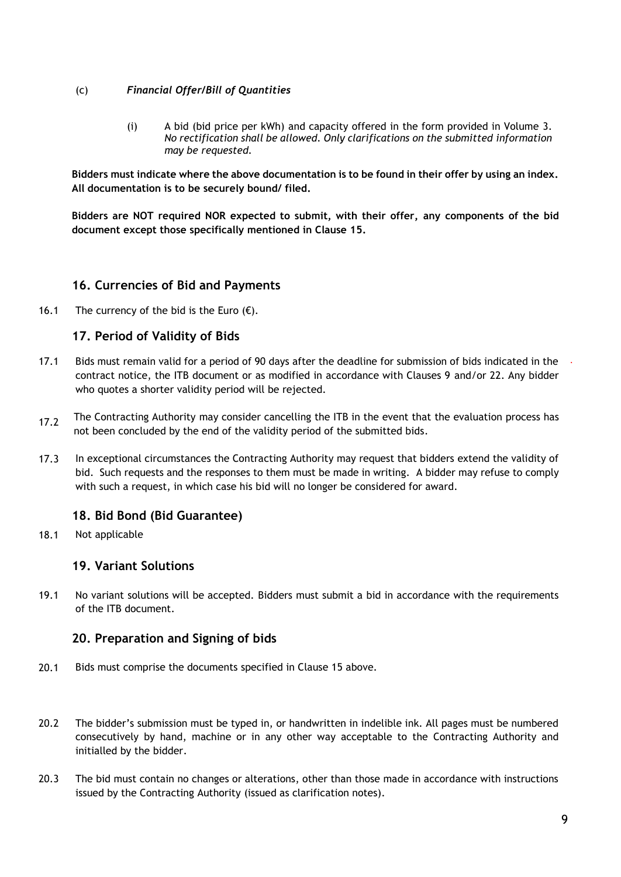#### (c) *Financial Offer/Bill of Quantities*

(i) A bid (bid price per kWh) and capacity offered in the form provided in Volume 3. *No rectification shall be allowed. Only clarifications on the submitted information may be requested.*

**Bidders must indicate where the above documentation is to be found in their offer by using an index. All documentation is to be securely bound/ filed.** 

**Bidders are NOT required NOR expected to submit, with their offer, any components of the bid document except those specifically mentioned in Clause 15.**

# <span id="page-9-0"></span>**16. Currencies of Bid and Payments**

16.1 The currency of the bid is the Euro  $(\epsilon)$ .

# <span id="page-9-1"></span>**17. Period of Validity of Bids**

- 17.1 Bids must remain valid for a period of 90 days after the deadline for submission of bids indicated in the contract notice, the ITB document or as modified in accordance with Clauses 9 and/or 22. Any bidder who quotes a shorter validity period will be rejected.
- 17.2 The Contracting Authority may consider cancelling the ITB in the event that the evaluation process has not been concluded by the end of the validity period of the submitted bids.
- 17.3 In exceptional circumstances the Contracting Authority may request that bidders extend the validity of bid. Such requests and the responses to them must be made in writing. A bidder may refuse to comply with such a request, in which case his bid will no longer be considered for award.

# <span id="page-9-2"></span>**18. Bid Bond (Bid Guarantee)**

18.1 Not applicable

# <span id="page-9-3"></span>**19. Variant Solutions**

19.1 No variant solutions will be accepted. Bidders must submit a bid in accordance with the requirements of the ITB document.

# <span id="page-9-4"></span>**20. Preparation and Signing of bids**

- 20.1 Bids must comprise the documents specified in Clause 15 above.
- 20.2 The bidder's submission must be typed in, or handwritten in indelible ink. All pages must be numbered consecutively by hand, machine or in any other way acceptable to the Contracting Authority and initialled by the bidder.
- 20.3 The bid must contain no changes or alterations, other than those made in accordance with instructions issued by the Contracting Authority (issued as clarification notes).

*.*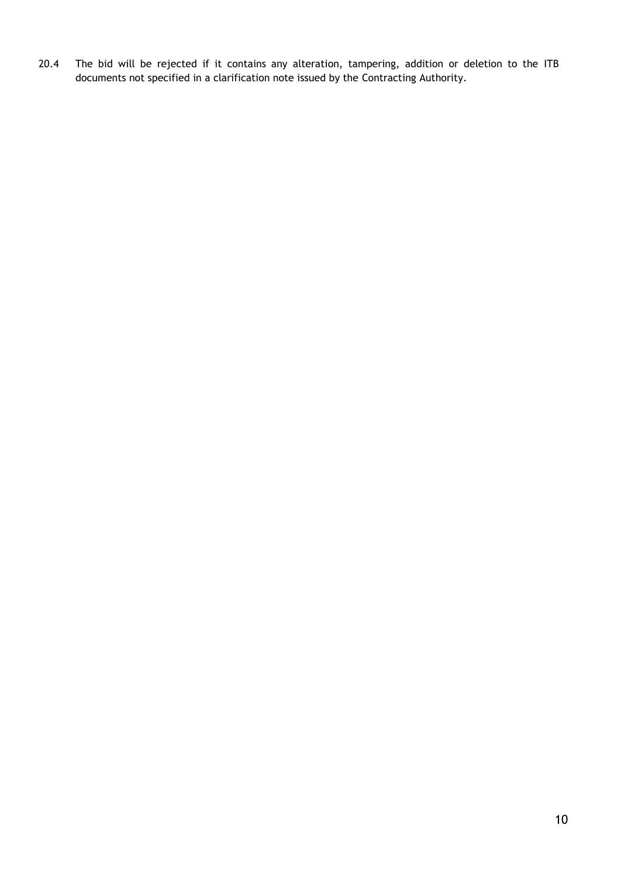20.4 The bid will be rejected if it contains any alteration, tampering, addition or deletion to the ITB documents not specified in a clarification note issued by the Contracting Authority.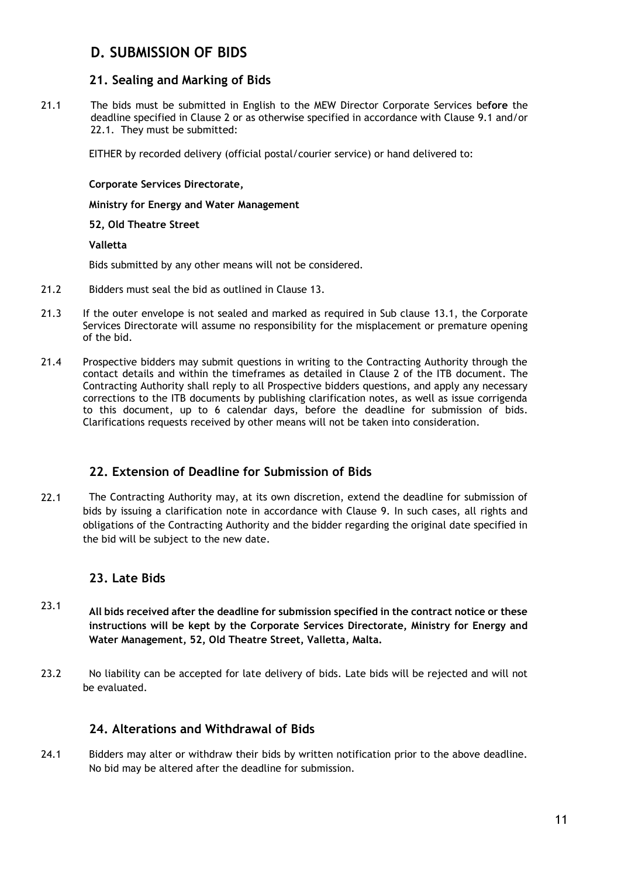# <span id="page-11-0"></span>**D. SUBMISSION OF BIDS**

### <span id="page-11-1"></span>**21. Sealing and Marking of Bids**

21.1 The bids must be submitted in English to the MEW Director Corporate Services be**fore** the deadline specified in Clause 2 or as otherwise specified in accordance with Clause 9.1 and/or 22.1. They must be submitted:

EITHER by recorded delivery (official postal/courier service) or hand delivered to:

#### **Corporate Services Directorate,**

**Ministry for Energy and Water Management**

#### **52, Old Theatre Street**

#### **Valletta**

Bids submitted by any other means will not be considered.

- 21.2 Bidders must seal the bid as outlined in Clause 13.
- 21.3 If the outer envelope is not sealed and marked as required in Sub clause 13.1, the Corporate Services Directorate will assume no responsibility for the misplacement or premature opening of the bid.
- 21.4 Prospective bidders may submit questions in writing to the Contracting Authority through the contact details and within the timeframes as detailed in Clause 2 of the ITB document. The Contracting Authority shall reply to all Prospective bidders questions, and apply any necessary corrections to the ITB documents by publishing clarification notes, as well as issue corrigenda to this document, up to 6 calendar days, before the deadline for submission of bids. Clarifications requests received by other means will not be taken into consideration.

#### <span id="page-11-2"></span>**22. Extension of Deadline for Submission of Bids**

22.1 The Contracting Authority may, at its own discretion, extend the deadline for submission of bids by issuing a clarification note in accordance with Clause 9. In such cases, all rights and obligations of the Contracting Authority and the bidder regarding the original date specified in the bid will be subject to the new date.

#### <span id="page-11-3"></span>**23. Late Bids**

- 23.1 **All bids received after the deadline for submission specified in the contract notice or these instructions will be kept by the Corporate Services Directorate, Ministry for Energy and Water Management, 52, Old Theatre Street, Valletta, Malta.**
- 23.2 No liability can be accepted for late delivery of bids. Late bids will be rejected and will not be evaluated.

### <span id="page-11-4"></span>**24. Alterations and Withdrawal of Bids**

24.1 Bidders may alter or withdraw their bids by written notification prior to the above deadline. No bid may be altered after the deadline for submission.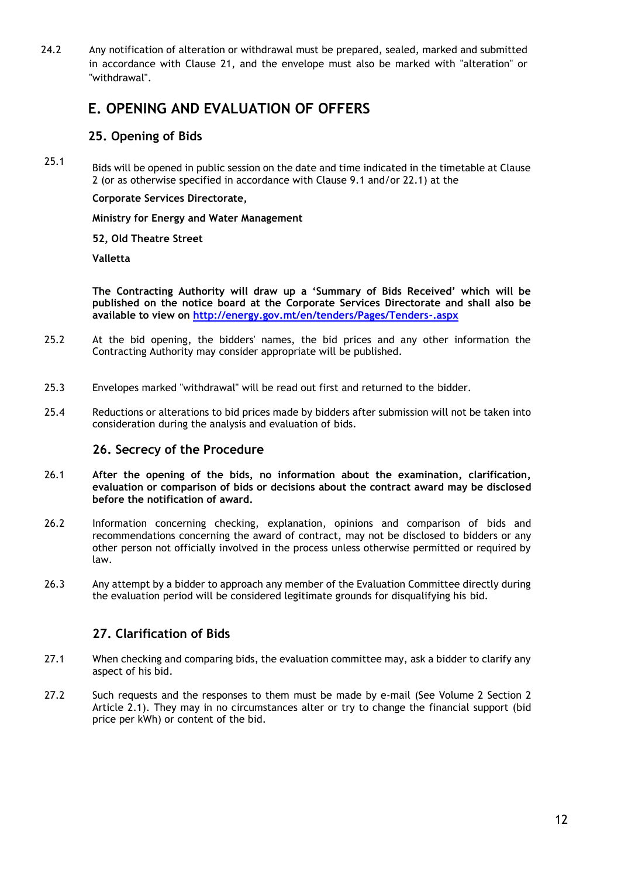24.2 Any notification of alteration or withdrawal must be prepared, sealed, marked and submitted in accordance with Clause 21, and the envelope must also be marked with "alteration" or "withdrawal".

# <span id="page-12-0"></span>**E. OPENING AND EVALUATION OF OFFERS**

## <span id="page-12-1"></span>**25. Opening of Bids**

25.1 Bids will be opened in public session on the date and time indicated in the timetable at Clause 2 (or as otherwise specified in accordance with Clause 9.1 and/or 22.1) at the

**Corporate Services Directorate,**

**Ministry for Energy and Water Management**

**52, Old Theatre Street**

**Valletta**

**The Contracting Authority will draw up a 'Summary of Bids Received' which will be published on the notice board at the Corporate Services Directorate and shall also be available to view on<http://energy.gov.mt/en/tenders/Pages/Tenders-.aspx>**

- 25.2 At the bid opening, the bidders' names, the bid prices and any other information the Contracting Authority may consider appropriate will be published.
- 25.3 Envelopes marked "withdrawal" will be read out first and returned to the bidder.
- 25.4 Reductions or alterations to bid prices made by bidders after submission will not be taken into consideration during the analysis and evaluation of bids.

### <span id="page-12-2"></span>**26. Secrecy of the Procedure**

- 26.1 **After the opening of the bids, no information about the examination, clarification, evaluation or comparison of bids or decisions about the contract award may be disclosed before the notification of award.**
- 26.2 Information concerning checking, explanation, opinions and comparison of bids and recommendations concerning the award of contract, may not be disclosed to bidders or any other person not officially involved in the process unless otherwise permitted or required by law.
- 26.3 Any attempt by a bidder to approach any member of the Evaluation Committee directly during the evaluation period will be considered legitimate grounds for disqualifying his bid.

# <span id="page-12-3"></span>**27. Clarification of Bids**

- 27.1 When checking and comparing bids, the evaluation committee may, ask a bidder to clarify any aspect of his bid.
- 27.2 Such requests and the responses to them must be made by e-mail (See Volume 2 Section 2 Article 2.1). They may in no circumstances alter or try to change the financial support (bid price per kWh) or content of the bid.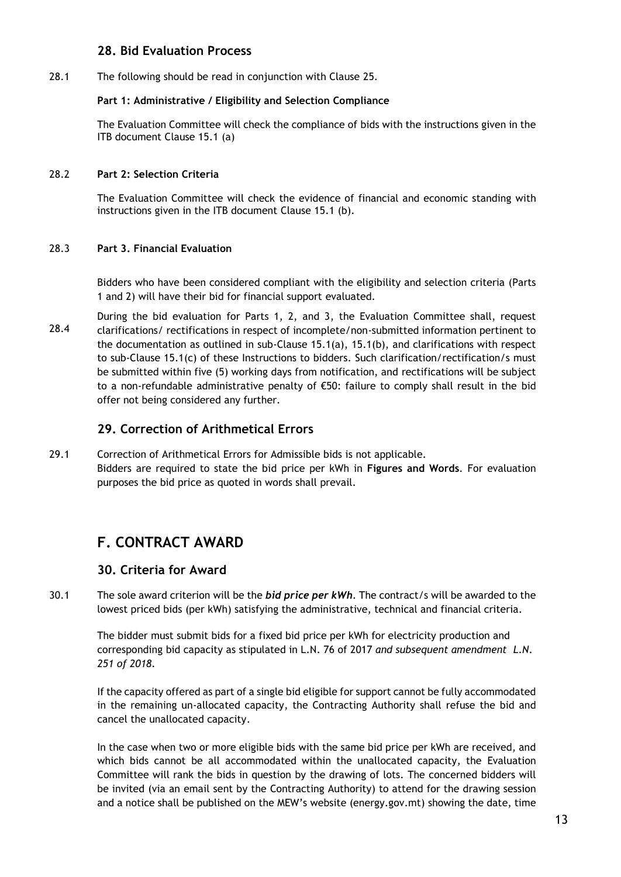### <span id="page-13-0"></span>**28. Bid Evaluation Process**

28.1 The following should be read in conjunction with Clause 25.

#### **Part 1: Administrative / Eligibility and Selection Compliance**

The Evaluation Committee will check the compliance of bids with the instructions given in the ITB document Clause 15.1 (a)

#### 28.2 **Part 2: Selection Criteria**

The Evaluation Committee will check the evidence of financial and economic standing with instructions given in the ITB document Clause 15.1 (b).

#### 28.3 **Part 3. Financial Evaluation**

Bidders who have been considered compliant with the eligibility and selection criteria (Parts 1 and 2) will have their bid for financial support evaluated.

28.4 During the bid evaluation for Parts 1, 2, and 3, the Evaluation Committee shall, request clarifications/ rectifications in respect of incomplete/non-submitted information pertinent to the documentation as outlined in sub-Clause 15.1(a), 15.1(b), and clarifications with respect to sub-Clause 15.1(c) of these Instructions to bidders. Such clarification/rectification/s must be submitted within five (5) working days from notification, and rectifications will be subject to a non-refundable administrative penalty of €50: failure to comply shall result in the bid offer not being considered any further.

# <span id="page-13-1"></span>**29. Correction of Arithmetical Errors**

29.1 Correction of Arithmetical Errors for Admissible bids is not applicable. Bidders are required to state the bid price per kWh in **Figures and Words**. For evaluation purposes the bid price as quoted in words shall prevail.

# <span id="page-13-2"></span>**F. CONTRACT AWARD**

#### <span id="page-13-3"></span>**30. Criteria for Award**

30.1 The sole award criterion will be the *bid price per kWh*. The contract/s will be awarded to the lowest priced bids (per kWh) satisfying the administrative, technical and financial criteria.

The bidder must submit bids for a fixed bid price per kWh for electricity production and corresponding bid capacity as stipulated in L.N. 76 of 2017 *and subsequent amendment L.N. 251 of 2018*.

If the capacity offered as part of a single bid eligible for support cannot be fully accommodated in the remaining un-allocated capacity, the Contracting Authority shall refuse the bid and cancel the unallocated capacity.

In the case when two or more eligible bids with the same bid price per kWh are received, and which bids cannot be all accommodated within the unallocated capacity, the Evaluation Committee will rank the bids in question by the drawing of lots. The concerned bidders will be invited (via an email sent by the Contracting Authority) to attend for the drawing session and a notice shall be published on the MEW's website (energy.gov.mt) showing the date, time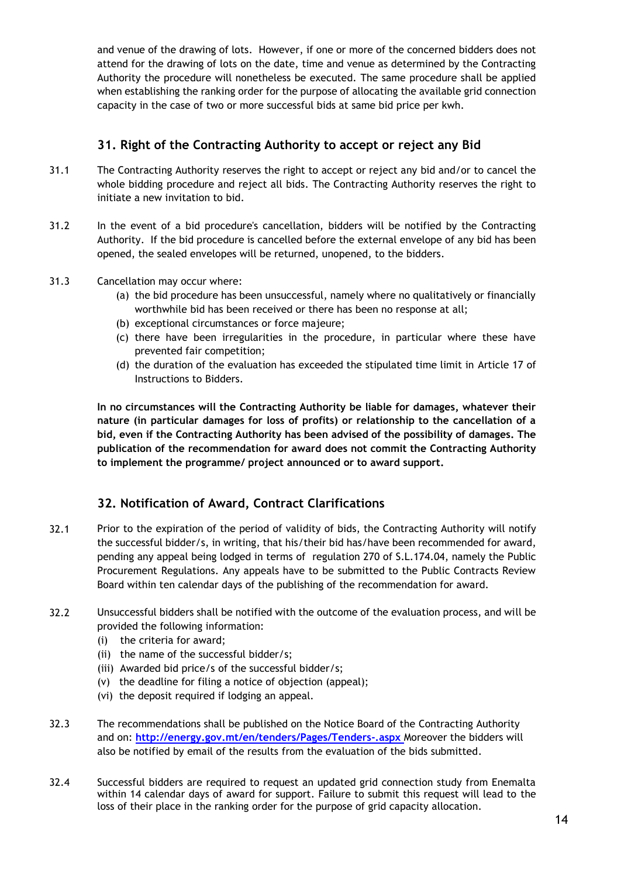and venue of the drawing of lots. However, if one or more of the concerned bidders does not attend for the drawing of lots on the date, time and venue as determined by the Contracting Authority the procedure will nonetheless be executed. The same procedure shall be applied when establishing the ranking order for the purpose of allocating the available grid connection capacity in the case of two or more successful bids at same bid price per kwh.

# <span id="page-14-0"></span>**31. Right of the Contracting Authority to accept or reject any Bid**

- 31.1 The Contracting Authority reserves the right to accept or reject any bid and/or to cancel the whole bidding procedure and reject all bids. The Contracting Authority reserves the right to initiate a new invitation to bid.
- 31.2 In the event of a bid procedure's cancellation, bidders will be notified by the Contracting Authority. If the bid procedure is cancelled before the external envelope of any bid has been opened, the sealed envelopes will be returned, unopened, to the bidders.
- 31.3 Cancellation may occur where:
	- (a) the bid procedure has been unsuccessful, namely where no qualitatively or financially worthwhile bid has been received or there has been no response at all;
	- (b) exceptional circumstances or force majeure;
	- (c) there have been irregularities in the procedure, in particular where these have prevented fair competition;
	- (d) the duration of the evaluation has exceeded the stipulated time limit in Article 17 of Instructions to Bidders.

**In no circumstances will the Contracting Authority be liable for damages, whatever their nature (in particular damages for loss of profits) or relationship to the cancellation of a bid, even if the Contracting Authority has been advised of the possibility of damages. The publication of the recommendation for award does not commit the Contracting Authority to implement the programme/ project announced or to award support.**

# <span id="page-14-1"></span>**32. Notification of Award, Contract Clarifications**

- 32.1 Prior to the expiration of the period of validity of bids, the Contracting Authority will notify the successful bidder/s, in writing, that his/their bid has/have been recommended for award, pending any appeal being lodged in terms of regulation 270 of S.L.174.04, namely the Public Procurement Regulations. Any appeals have to be submitted to the Public Contracts Review Board within ten calendar days of the publishing of the recommendation for award.
- 32.2 Unsuccessful bidders shall be notified with the outcome of the evaluation process, and will be provided the following information:
	- (i) the criteria for award;
	- (ii) the name of the successful bidder/s;
	- (iii) Awarded bid price/s of the successful bidder/s;
	- (v) the deadline for filing a notice of objection (appeal);
	- (vi) the deposit required if lodging an appeal.
- 32.3 The recommendations shall be published on the Notice Board of the Contracting Authority and on: **<http://energy.gov.mt/en/tenders/Pages/Tenders-.aspx>** Moreover the bidders will also be notified by email of the results from the evaluation of the bids submitted.
- 32.4 Successful bidders are required to request an updated grid connection study from Enemalta within 14 calendar days of award for support. Failure to submit this request will lead to the loss of their place in the ranking order for the purpose of grid capacity allocation.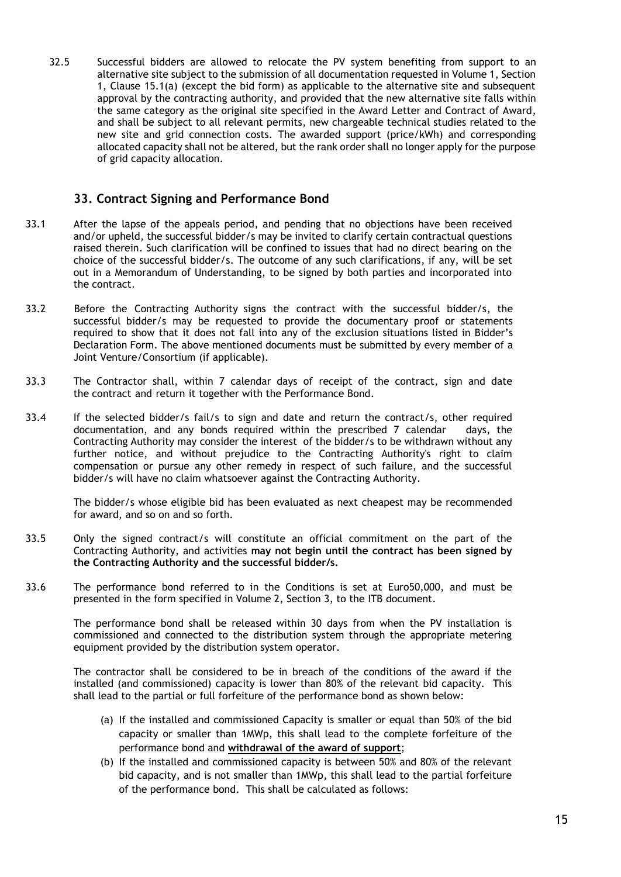32.5 Successful bidders are allowed to relocate the PV system benefiting from support to an alternative site subject to the submission of all documentation requested in Volume 1, Section 1, Clause 15.1(a) (except the bid form) as applicable to the alternative site and subsequent approval by the contracting authority, and provided that the new alternative site falls within the same category as the original site specified in the Award Letter and Contract of Award, and shall be subject to all relevant permits, new chargeable technical studies related to the new site and grid connection costs. The awarded support (price/kWh) and corresponding allocated capacity shall not be altered, but the rank order shall no longer apply for the purpose of grid capacity allocation.

### <span id="page-15-0"></span>**33. Contract Signing and Performance Bond**

- 33.1 After the lapse of the appeals period, and pending that no objections have been received and/or upheld, the successful bidder/s may be invited to clarify certain contractual questions raised therein. Such clarification will be confined to issues that had no direct bearing on the choice of the successful bidder/s. The outcome of any such clarifications, if any, will be set out in a Memorandum of Understanding, to be signed by both parties and incorporated into the contract.
- 33.2 Before the Contracting Authority signs the contract with the successful bidder/s, the successful bidder/s may be requested to provide the documentary proof or statements required to show that it does not fall into any of the exclusion situations listed in Bidder's Declaration Form. The above mentioned documents must be submitted by every member of a Joint Venture/Consortium (if applicable).
- 33.3 The Contractor shall, within 7 calendar days of receipt of the contract, sign and date the contract and return it together with the Performance Bond.
- 33.4 If the selected bidder/s fail/s to sign and date and return the contract/s, other required documentation, and any bonds required within the prescribed 7 calendar days, the Contracting Authority may consider the interest of the bidder/s to be withdrawn without any further notice, and without prejudice to the Contracting Authority's right to claim compensation or pursue any other remedy in respect of such failure, and the successful bidder/s will have no claim whatsoever against the Contracting Authority.

The bidder/s whose eligible bid has been evaluated as next cheapest may be recommended for award, and so on and so forth.

- 33.5 Only the signed contract/s will constitute an official commitment on the part of the Contracting Authority, and activities **may not begin until the contract has been signed by the Contracting Authority and the successful bidder/s.**
- 33.6 The performance bond referred to in the Conditions is set at Euro50,000, and must be presented in the form specified in Volume 2, Section 3, to the ITB document.

The performance bond shall be released within 30 days from when the PV installation is commissioned and connected to the distribution system through the appropriate metering equipment provided by the distribution system operator.

The contractor shall be considered to be in breach of the conditions of the award if the installed (and commissioned) capacity is lower than 80% of the relevant bid capacity. This shall lead to the partial or full forfeiture of the performance bond as shown below:

- (a) If the installed and commissioned Capacity is smaller or equal than 50% of the bid capacity or smaller than 1MWp, this shall lead to the complete forfeiture of the performance bond and **withdrawal of the award of support**;
- (b) If the installed and commissioned capacity is between 50% and 80% of the relevant bid capacity, and is not smaller than 1MWp, this shall lead to the partial forfeiture of the performance bond. This shall be calculated as follows: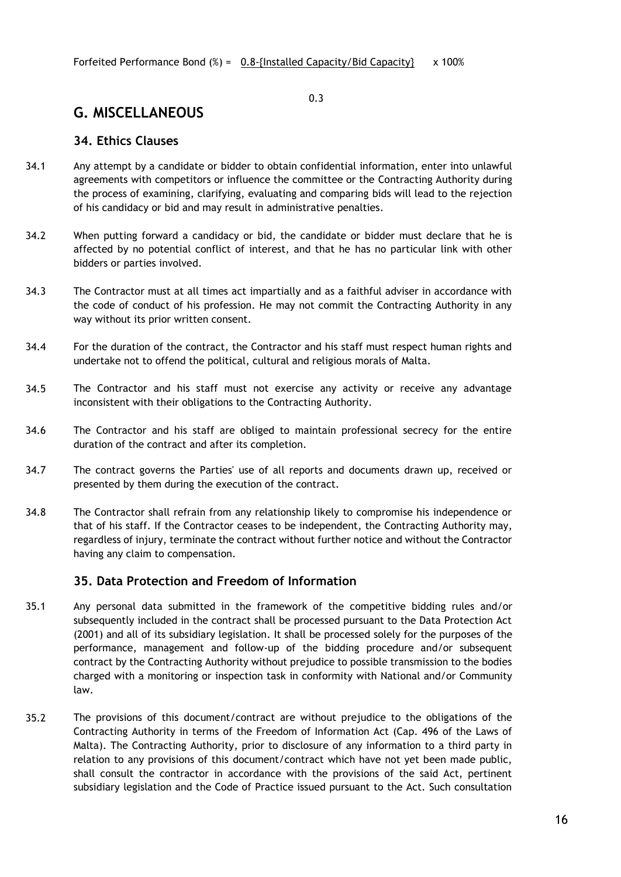#### 0.3

# <span id="page-16-0"></span>**G. MISCELLANEOUS**

#### <span id="page-16-1"></span>**34. Ethics Clauses**

- 34.1 Any attempt by a candidate or bidder to obtain confidential information, enter into unlawful agreements with competitors or influence the committee or the Contracting Authority during the process of examining, clarifying, evaluating and comparing bids will lead to the rejection of his candidacy or bid and may result in administrative penalties.
- 34.2 When putting forward a candidacy or bid, the candidate or bidder must declare that he is affected by no potential conflict of interest, and that he has no particular link with other bidders or parties involved.
- 34.3 The Contractor must at all times act impartially and as a faithful adviser in accordance with the code of conduct of his profession. He may not commit the Contracting Authority in any way without its prior written consent.
- 34.4 For the duration of the contract, the Contractor and his staff must respect human rights and undertake not to offend the political, cultural and religious morals of Malta.
- 34.5 The Contractor and his staff must not exercise any activity or receive any advantage inconsistent with their obligations to the Contracting Authority.
- 34.6 The Contractor and his staff are obliged to maintain professional secrecy for the entire duration of the contract and after its completion.
- 34.7 The contract governs the Parties' use of all reports and documents drawn up, received or presented by them during the execution of the contract.
- 34.8 The Contractor shall refrain from any relationship likely to compromise his independence or that of his staff. If the Contractor ceases to be independent, the Contracting Authority may, regardless of injury, terminate the contract without further notice and without the Contractor having any claim to compensation.

### <span id="page-16-2"></span>**35. Data Protection and Freedom of Information**

- 35.1 Any personal data submitted in the framework of the competitive bidding rules and/or subsequently included in the contract shall be processed pursuant to the Data Protection Act (2001) and all of its subsidiary legislation. It shall be processed solely for the purposes of the performance, management and follow-up of the bidding procedure and/or subsequent contract by the Contracting Authority without prejudice to possible transmission to the bodies charged with a monitoring or inspection task in conformity with National and/or Community law.
- 35.2 The provisions of this document/contract are without prejudice to the obligations of the Contracting Authority in terms of the Freedom of Information Act (Cap. 496 of the Laws of Malta). The Contracting Authority, prior to disclosure of any information to a third party in relation to any provisions of this document/contract which have not yet been made public, shall consult the contractor in accordance with the provisions of the said Act, pertinent subsidiary legislation and the Code of Practice issued pursuant to the Act. Such consultation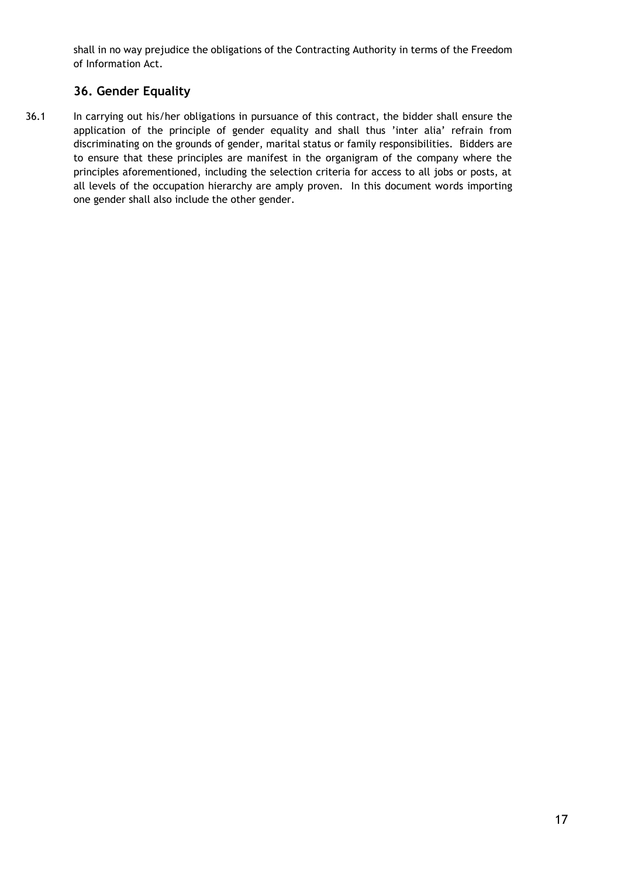shall in no way prejudice the obligations of the Contracting Authority in terms of the Freedom of Information Act.

# <span id="page-17-0"></span>**36. Gender Equality**

36.1 In carrying out his/her obligations in pursuance of this contract, the bidder shall ensure the application of the principle of gender equality and shall thus 'inter alia' refrain from discriminating on the grounds of gender, marital status or family responsibilities. Bidders are to ensure that these principles are manifest in the organigram of the company where the principles aforementioned, including the selection criteria for access to all jobs or posts, at all levels of the occupation hierarchy are amply proven. In this document words importing one gender shall also include the other gender.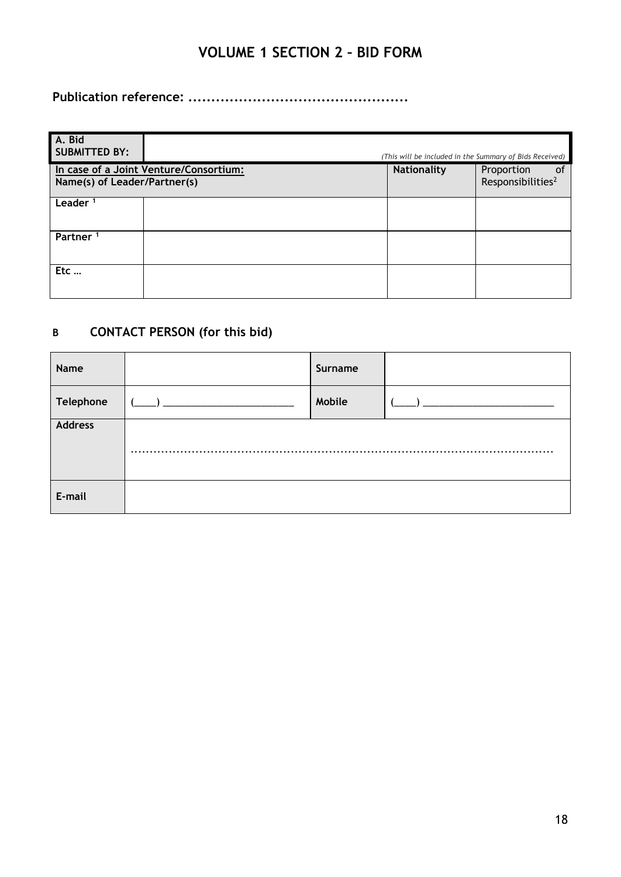# **VOLUME 1 SECTION 2 – BID FORM**

<span id="page-18-0"></span>**Publication reference: ................................................**

| A. Bid<br><b>SUBMITTED BY:</b>                                         |  |                    | (This will be included in the Summary of Bids Received) |
|------------------------------------------------------------------------|--|--------------------|---------------------------------------------------------|
| In case of a Joint Venture/Consortium:<br>Name(s) of Leader/Partner(s) |  | <b>Nationality</b> | of<br>Proportion<br>Responsibilities <sup>2</sup>       |
| Leader <sup>1</sup>                                                    |  |                    |                                                         |
| Partner <sup>1</sup>                                                   |  |                    |                                                         |
| Etc                                                                    |  |                    |                                                         |

# **B CONTACT PERSON (for this bid)**

| Name           |          | Surname |  |
|----------------|----------|---------|--|
| Telephone      |          | Mobile  |  |
| <b>Address</b> |          |         |  |
|                | $\cdots$ |         |  |
| E-mail         |          |         |  |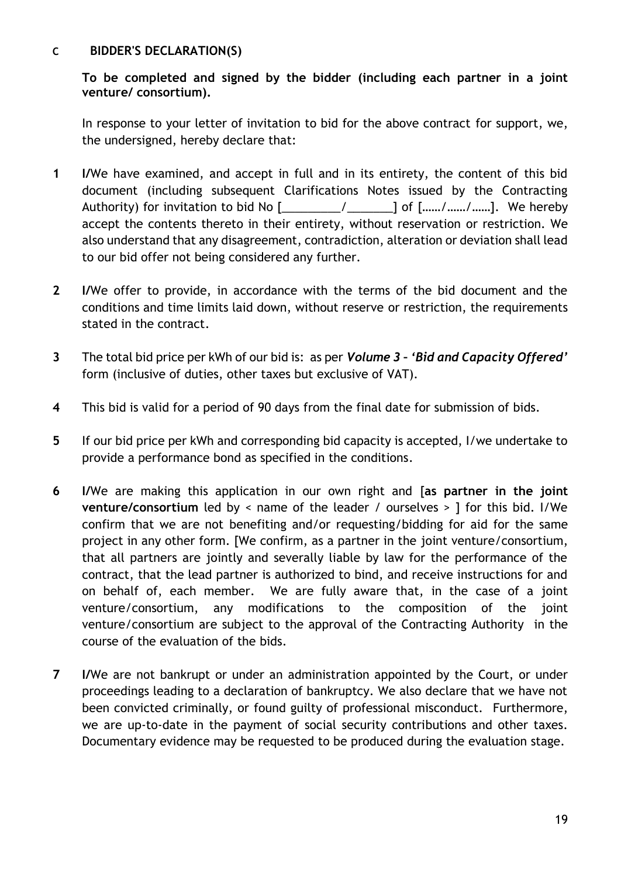### **C BIDDER'S DECLARATION(S)**

**To be completed and signed by the bidder (including each partner in a joint venture/ consortium).**

In response to your letter of invitation to bid for the above contract for support, we, the undersigned, hereby declare that:

- **1 I/**We have examined, and accept in full and in its entirety, the content of this bid document (including subsequent Clarifications Notes issued by the Contracting Authority) for invitation to bid No  $[\underline{\hspace{1cm}} \underline{\hspace{1cm}} \underline{\hspace{1cm}} \underline{\hspace{1cm}} \underline{\hspace{1cm}}]$  of  $[\underline{\hspace{1cm}} \underline{\hspace{1cm}} \underline{\hspace{1cm}} \underline{\hspace{1cm}} \underline{\hspace{1cm}} \underline{\hspace{1cm}} \underline{\hspace{1cm}} \underline{\hspace{1cm}} \underline{\hspace{1cm}} \underline{\hspace{1cm}} \underline{\hspace{1cm}} \underline{\hspace{1cm}} \underline{\hspace{1cm}} \underline{\hspace{1cm}} \underline{\hspace{$ accept the contents thereto in their entirety, without reservation or restriction. We also understand that any disagreement, contradiction, alteration or deviation shall lead to our bid offer not being considered any further.
- **2 I/**We offer to provide, in accordance with the terms of the bid document and the conditions and time limits laid down, without reserve or restriction, the requirements stated in the contract.
- **3** The total bid price per kWh of our bid is: as per *Volume 3 – 'Bid and Capacity Offered'* form (inclusive of duties, other taxes but exclusive of VAT).
- **4** This bid is valid for a period of 90 days from the final date for submission of bids.
- **5** If our bid price per kWh and corresponding bid capacity is accepted, I/we undertake to provide a performance bond as specified in the conditions.
- **6 I/**We are making this application in our own right and [**as partner in the joint venture/consortium** led by < name of the leader / ourselves > ] for this bid. I/We confirm that we are not benefiting and/or requesting/bidding for aid for the same project in any other form. [We confirm, as a partner in the joint venture/consortium, that all partners are jointly and severally liable by law for the performance of the contract, that the lead partner is authorized to bind, and receive instructions for and on behalf of, each member. We are fully aware that, in the case of a joint venture/consortium, any modifications to the composition of the joint venture/consortium are subject to the approval of the Contracting Authority in the course of the evaluation of the bids.
- **7 I/**We are not bankrupt or under an administration appointed by the Court, or under proceedings leading to a declaration of bankruptcy. We also declare that we have not been convicted criminally, or found guilty of professional misconduct. Furthermore, we are up-to-date in the payment of social security contributions and other taxes. Documentary evidence may be requested to be produced during the evaluation stage.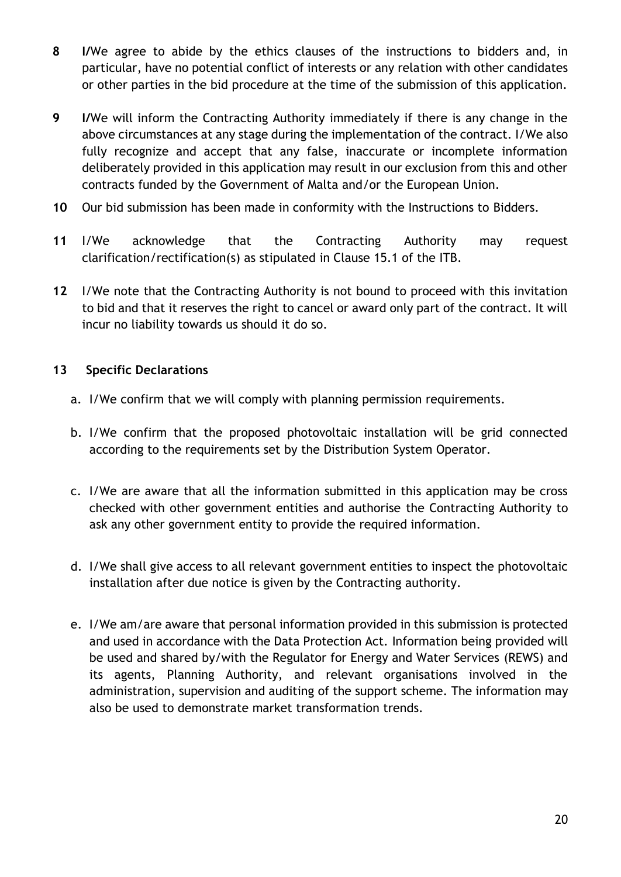- **8 I/**We agree to abide by the ethics clauses of the instructions to bidders and, in particular, have no potential conflict of interests or any relation with other candidates or other parties in the bid procedure at the time of the submission of this application.
- **9 I/**We will inform the Contracting Authority immediately if there is any change in the above circumstances at any stage during the implementation of the contract. I/We also fully recognize and accept that any false, inaccurate or incomplete information deliberately provided in this application may result in our exclusion from this and other contracts funded by the Government of Malta and/or the European Union.
- **10** Our bid submission has been made in conformity with the Instructions to Bidders.
- **11** I/We acknowledge that the Contracting Authority may request clarification/rectification(s) as stipulated in Clause 15.1 of the ITB.
- **12** I/We note that the Contracting Authority is not bound to proceed with this invitation to bid and that it reserves the right to cancel or award only part of the contract. It will incur no liability towards us should it do so.

# **13 Specific Declarations**

- a. I/We confirm that we will comply with planning permission requirements.
- b. I/We confirm that the proposed photovoltaic installation will be grid connected according to the requirements set by the Distribution System Operator.
- c. I/We are aware that all the information submitted in this application may be cross checked with other government entities and authorise the Contracting Authority to ask any other government entity to provide the required information.
- d. I/We shall give access to all relevant government entities to inspect the photovoltaic installation after due notice is given by the Contracting authority.
- e. I/We am/are aware that personal information provided in this submission is protected and used in accordance with the Data Protection Act. Information being provided will be used and shared by/with the Regulator for Energy and Water Services (REWS) and its agents, Planning Authority, and relevant organisations involved in the administration, supervision and auditing of the support scheme. The information may also be used to demonstrate market transformation trends.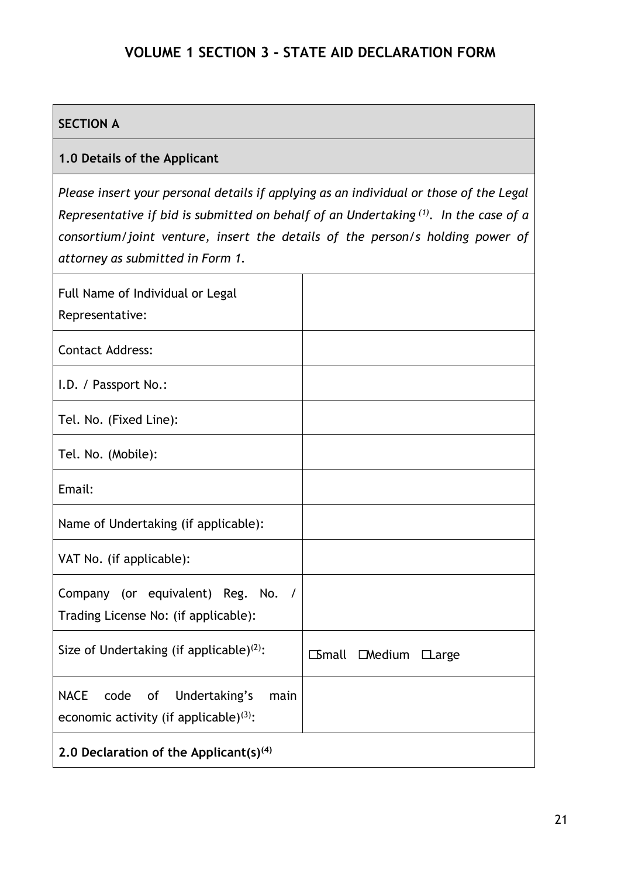# **VOLUME 1 SECTION 3 - STATE AID DECLARATION FORM**

# <span id="page-21-0"></span>**SECTION A**

# **1.0 Details of the Applicant**

*Please insert your personal details if applying as an individual or those of the Legal Representative if bid is submitted on behalf of an Undertaking (1) . In the case of a consortium/joint venture, insert the details of the person/s holding power of attorney as submitted in Form 1.*

| Full Name of Individual or Legal<br>Representative:                                                      |             |                     |  |
|----------------------------------------------------------------------------------------------------------|-------------|---------------------|--|
| <b>Contact Address:</b>                                                                                  |             |                     |  |
| I.D. / Passport No.:                                                                                     |             |                     |  |
| Tel. No. (Fixed Line):                                                                                   |             |                     |  |
| Tel. No. (Mobile):                                                                                       |             |                     |  |
| Email:                                                                                                   |             |                     |  |
| Name of Undertaking (if applicable):                                                                     |             |                     |  |
| VAT No. (if applicable):                                                                                 |             |                     |  |
| Company (or equivalent) Reg. No. /<br>Trading License No: (if applicable):                               |             |                     |  |
| Size of Undertaking (if applicable) <sup>(2)</sup> :                                                     | $\Box$ mall | $D$ Medium $D$ arge |  |
| <b>NACE</b><br>code<br>of<br>Undertaking's<br>main<br>economic activity (if applicable) <sup>(3)</sup> : |             |                     |  |
| 2.0 Declaration of the Applicant(s) $(4)$                                                                |             |                     |  |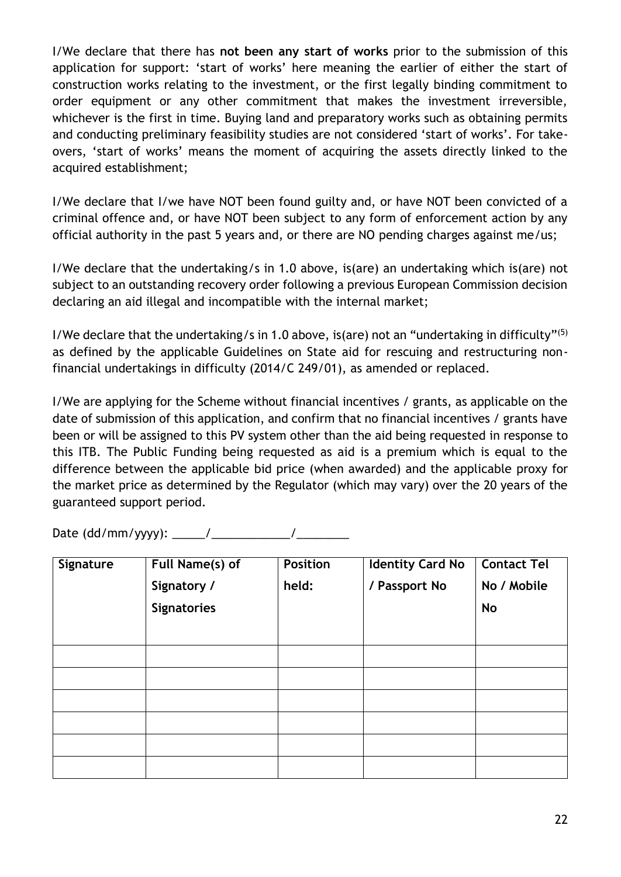I/We declare that there has **not been any start of works** prior to the submission of this application for support: 'start of works' here meaning the earlier of either the start of construction works relating to the investment, or the first legally binding commitment to order equipment or any other commitment that makes the investment irreversible, whichever is the first in time. Buying land and preparatory works such as obtaining permits and conducting preliminary feasibility studies are not considered 'start of works'. For takeovers, 'start of works' means the moment of acquiring the assets directly linked to the acquired establishment;

I/We declare that I/we have NOT been found guilty and, or have NOT been convicted of a criminal offence and, or have NOT been subject to any form of enforcement action by any official authority in the past 5 years and, or there are NO pending charges against me/us;

I/We declare that the undertaking/s in 1.0 above, is(are) an undertaking which is(are) not subject to an outstanding recovery order following a previous European Commission decision declaring an aid illegal and incompatible with the internal market;

I/We declare that the undertaking/s in 1.0 above, is(are) not an "undertaking in difficulty"<sup>(5)</sup> as defined by the applicable Guidelines on State aid for rescuing and restructuring nonfinancial undertakings in difficulty (2014/C 249/01), as amended or replaced.

I/We are applying for the Scheme without financial incentives / grants, as applicable on the date of submission of this application, and confirm that no financial incentives / grants have been or will be assigned to this PV system other than the aid being requested in response to this ITB. The Public Funding being requested as aid is a premium which is equal to the difference between the applicable bid price (when awarded) and the applicable proxy for the market price as determined by the Regulator (which may vary) over the 20 years of the guaranteed support period.

Date (dd/mm/yyyy): \_\_\_\_\_/\_\_\_\_\_\_\_\_\_\_\_\_/\_\_\_\_\_\_\_\_

| Signature | Full Name(s) of<br>Signatory /<br><b>Signatories</b> | <b>Position</b><br>held: | <b>Identity Card No</b><br>/ Passport No | <b>Contact Tel</b><br>No / Mobile<br><b>No</b> |
|-----------|------------------------------------------------------|--------------------------|------------------------------------------|------------------------------------------------|
|           |                                                      |                          |                                          |                                                |
|           |                                                      |                          |                                          |                                                |
|           |                                                      |                          |                                          |                                                |
|           |                                                      |                          |                                          |                                                |
|           |                                                      |                          |                                          |                                                |
|           |                                                      |                          |                                          |                                                |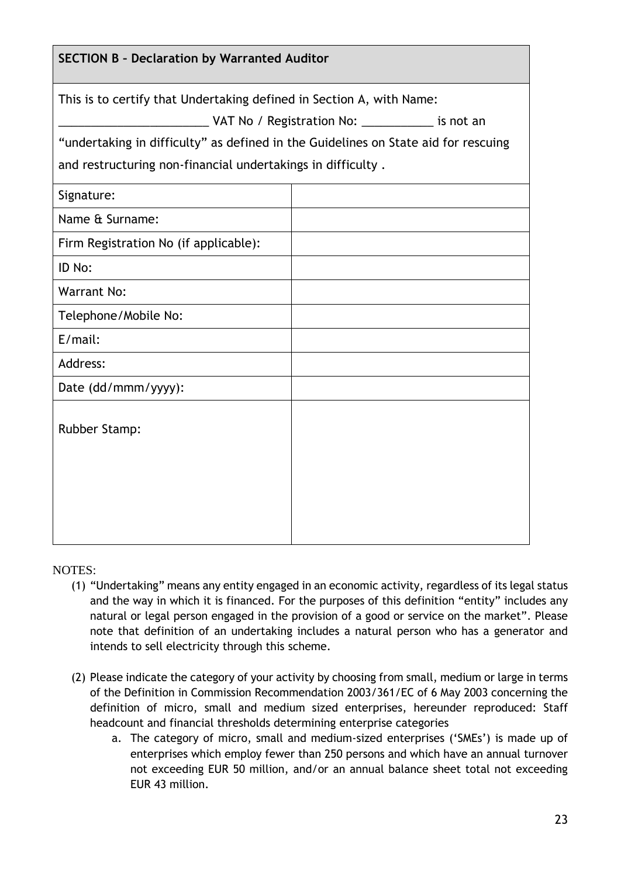| <b>SECTION B - Declaration by Warranted Auditor</b>                                |                                                  |
|------------------------------------------------------------------------------------|--------------------------------------------------|
| This is to certify that Undertaking defined in Section A, with Name:               |                                                  |
|                                                                                    | VAT No / Registration No: ____________ is not an |
| "undertaking in difficulty" as defined in the Guidelines on State aid for rescuing |                                                  |
| and restructuring non-financial undertakings in difficulty.                        |                                                  |
| Signature:                                                                         |                                                  |
| Name & Surname:                                                                    |                                                  |
| Firm Registration No (if applicable):                                              |                                                  |
| ID No:                                                                             |                                                  |
| <b>Warrant No:</b>                                                                 |                                                  |
| Telephone/Mobile No:                                                               |                                                  |
| $E/mail$ :                                                                         |                                                  |
| Address:                                                                           |                                                  |
| Date (dd/mmm/yyyy):                                                                |                                                  |
| <b>Rubber Stamp:</b>                                                               |                                                  |
|                                                                                    |                                                  |

NOTES:

- (1) "Undertaking" means any entity engaged in an economic activity, regardless of its legal status and the way in which it is financed. For the purposes of this definition "entity" includes any natural or legal person engaged in the provision of a good or service on the market". Please note that definition of an undertaking includes a natural person who has a generator and intends to sell electricity through this scheme.
- (2) Please indicate the category of your activity by choosing from small, medium or large in terms of the Definition in Commission Recommendation 2003/361/EC of 6 May 2003 concerning the definition of micro, small and medium sized enterprises, hereunder reproduced: Staff headcount and financial thresholds determining enterprise categories
	- a. The category of micro, small and medium-sized enterprises ('SMEs') is made up of enterprises which employ fewer than 250 persons and which have an annual turnover not exceeding EUR 50 million, and/or an annual balance sheet total not exceeding EUR 43 million.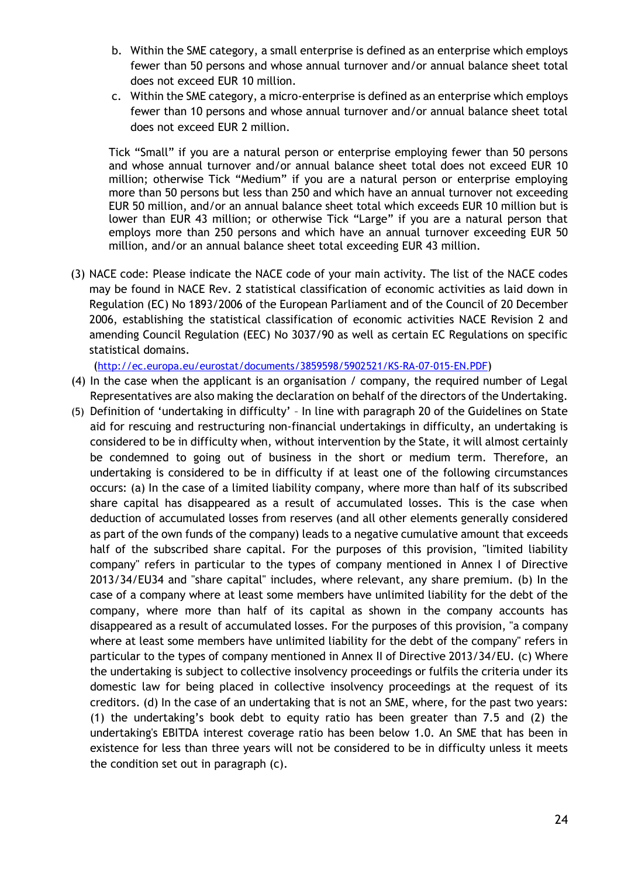- b. Within the SME category, a small enterprise is defined as an enterprise which employs fewer than 50 persons and whose annual turnover and/or annual balance sheet total does not exceed EUR 10 million.
- c. Within the SME category, a micro-enterprise is defined as an enterprise which employs fewer than 10 persons and whose annual turnover and/or annual balance sheet total does not exceed EUR 2 million.

Tick "Small" if you are a natural person or enterprise employing fewer than 50 persons and whose annual turnover and/or annual balance sheet total does not exceed EUR 10 million; otherwise Tick "Medium" if you are a natural person or enterprise employing more than 50 persons but less than 250 and which have an annual turnover not exceeding EUR 50 million, and/or an annual balance sheet total which exceeds EUR 10 million but is lower than EUR 43 million; or otherwise Tick "Large" if you are a natural person that employs more than 250 persons and which have an annual turnover exceeding EUR 50 million, and/or an annual balance sheet total exceeding EUR 43 million.

(3) NACE code: Please indicate the NACE code of your main activity. The list of the NACE codes may be found in NACE Rev. 2 statistical classification of economic activities as laid down in Regulation (EC) No 1893/2006 of the European Parliament and of the Council of 20 December 2006, establishing the statistical classification of economic activities NACE Revision 2 and amending Council Regulation (EEC) No 3037/90 as well as certain EC Regulations on specific statistical domains.

(<http://ec.europa.eu/eurostat/documents/3859598/5902521/KS-RA-07-015-EN.PDF>)

- (4) In the case when the applicant is an organisation / company, the required number of Legal Representatives are also making the declaration on behalf of the directors of the Undertaking.
- (5) Definition of 'undertaking in difficulty' In line with paragraph 20 of the Guidelines on State aid for rescuing and restructuring non-financial undertakings in difficulty, an undertaking is considered to be in difficulty when, without intervention by the State, it will almost certainly be condemned to going out of business in the short or medium term. Therefore, an undertaking is considered to be in difficulty if at least one of the following circumstances occurs: (a) In the case of a limited liability company, where more than half of its subscribed share capital has disappeared as a result of accumulated losses. This is the case when deduction of accumulated losses from reserves (and all other elements generally considered as part of the own funds of the company) leads to a negative cumulative amount that exceeds half of the subscribed share capital. For the purposes of this provision, "limited liability company" refers in particular to the types of company mentioned in Annex I of Directive 2013/34/EU34 and "share capital" includes, where relevant, any share premium. (b) In the case of a company where at least some members have unlimited liability for the debt of the company, where more than half of its capital as shown in the company accounts has disappeared as a result of accumulated losses. For the purposes of this provision, "a company where at least some members have unlimited liability for the debt of the company" refers in particular to the types of company mentioned in Annex II of Directive 2013/34/EU. (c) Where the undertaking is subject to collective insolvency proceedings or fulfils the criteria under its domestic law for being placed in collective insolvency proceedings at the request of its creditors. (d) In the case of an undertaking that is not an SME, where, for the past two years: (1) the undertaking's book debt to equity ratio has been greater than 7.5 and (2) the undertaking's EBITDA interest coverage ratio has been below 1.0. An SME that has been in existence for less than three years will not be considered to be in difficulty unless it meets the condition set out in paragraph (c).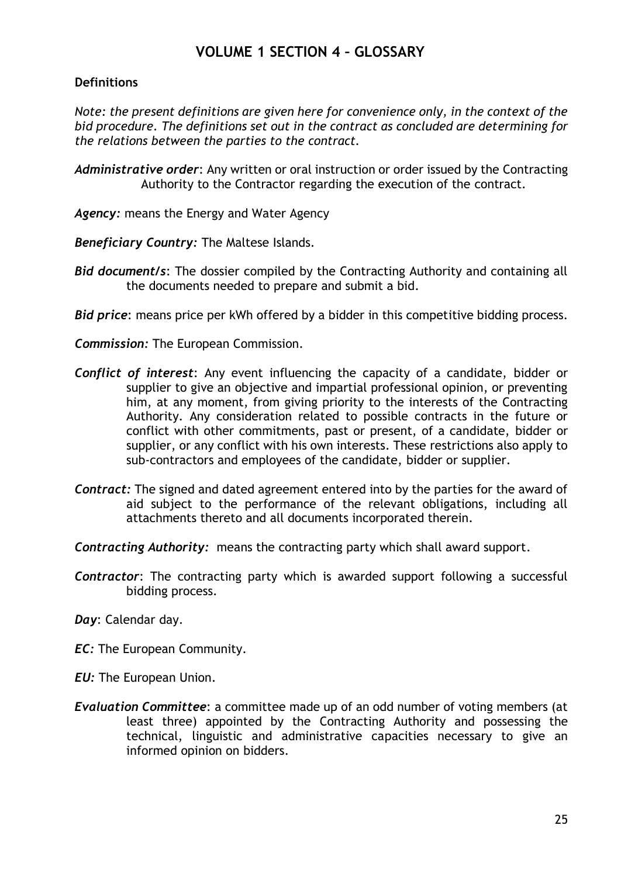# **VOLUME 1 SECTION 4 – GLOSSARY**

# <span id="page-25-0"></span>**Definitions**

*Note: the present definitions are given here for convenience only, in the context of the bid procedure. The definitions set out in the contract as concluded are determining for the relations between the parties to the contract.*

*Administrative order*: Any written or oral instruction or order issued by the Contracting Authority to the Contractor regarding the execution of the contract.

*Agency:* means the Energy and Water Agency

*Beneficiary Country:* The Maltese Islands.

*Bid document/s*: The dossier compiled by the Contracting Authority and containing all the documents needed to prepare and submit a bid.

*Bid price*: means price per kWh offered by a bidder in this competitive bidding process.

*Commission:* The European Commission.

- *Conflict of interest*: Any event influencing the capacity of a candidate, bidder or supplier to give an objective and impartial professional opinion, or preventing him, at any moment, from giving priority to the interests of the Contracting Authority. Any consideration related to possible contracts in the future or conflict with other commitments, past or present, of a candidate, bidder or supplier, or any conflict with his own interests. These restrictions also apply to sub-contractors and employees of the candidate, bidder or supplier.
- *Contract:* The signed and dated agreement entered into by the parties for the award of aid subject to the performance of the relevant obligations, including all attachments thereto and all documents incorporated therein.

*Contracting Authority:* means the contracting party which shall award support.

*Contractor*: The contracting party which is awarded support following a successful bidding process.

*Day*: Calendar day.

*EC:* The European Community.

*EU:* The European Union.

*Evaluation Committee*: a committee made up of an odd number of voting members (at least three) appointed by the Contracting Authority and possessing the technical, linguistic and administrative capacities necessary to give an informed opinion on bidders.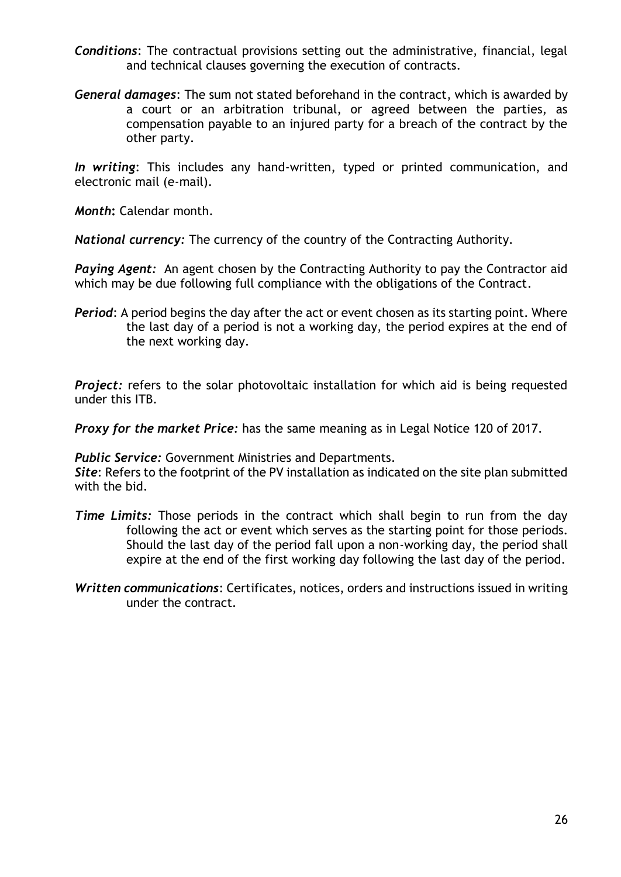- *Conditions*: The contractual provisions setting out the administrative, financial, legal and technical clauses governing the execution of contracts.
- *General damages*: The sum not stated beforehand in the contract, which is awarded by a court or an arbitration tribunal, or agreed between the parties, as compensation payable to an injured party for a breach of the contract by the other party.

*In writing*: This includes any hand-written, typed or printed communication, and electronic mail (e-mail).

*Month***:** Calendar month.

*National currency:* The currency of the country of the Contracting Authority.

*Paying Agent:* An agent chosen by the Contracting Authority to pay the Contractor aid which may be due following full compliance with the obligations of the Contract.

**Period:** A period begins the day after the act or event chosen as its starting point. Where the last day of a period is not a working day, the period expires at the end of the next working day.

**Project:** refers to the solar photovoltaic installation for which aid is being requested under this ITB.

*Proxy for the market Price:* has the same meaning as in Legal Notice 120 of 2017.

*Public Service:* Government Ministries and Departments.

*Site*: Refers to the footprint of the PV installation as indicated on the site plan submitted with the bid.

- *Time Limits:* Those periods in the contract which shall begin to run from the day following the act or event which serves as the starting point for those periods. Should the last day of the period fall upon a non-working day, the period shall expire at the end of the first working day following the last day of the period.
- *Written communications*: Certificates, notices, orders and instructions issued in writing under the contract.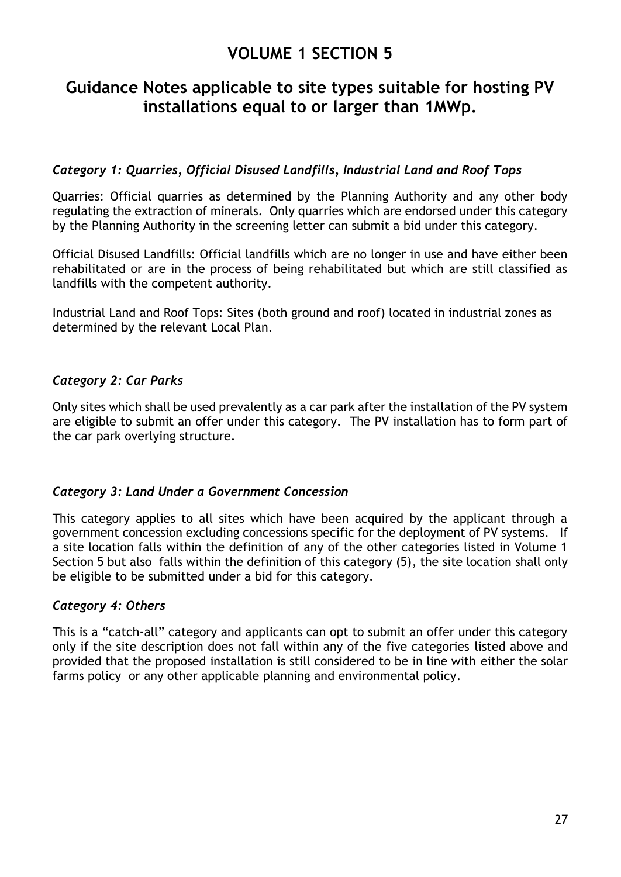# **VOLUME 1 SECTION 5**

# <span id="page-27-1"></span><span id="page-27-0"></span>**Guidance Notes applicable to site types suitable for hosting PV installations equal to or larger than 1MWp.**

# *Category 1: Quarries, Official Disused Landfills, Industrial Land and Roof Tops*

Quarries: Official quarries as determined by the Planning Authority and any other body regulating the extraction of minerals. Only quarries which are endorsed under this category by the Planning Authority in the screening letter can submit a bid under this category.

Official Disused Landfills: Official landfills which are no longer in use and have either been rehabilitated or are in the process of being rehabilitated but which are still classified as landfills with the competent authority.

Industrial Land and Roof Tops: Sites (both ground and roof) located in industrial zones as determined by the relevant Local Plan.

# *Category 2: Car Parks*

Only sites which shall be used prevalently as a car park after the installation of the PV system are eligible to submit an offer under this category. The PV installation has to form part of the car park overlying structure.

# *Category 3: Land Under a Government Concession*

This category applies to all sites which have been acquired by the applicant through a government concession excluding concessions specific for the deployment of PV systems. If a site location falls within the definition of any of the other categories listed in Volume 1 Section 5 but also falls within the definition of this category (5), the site location shall only be eligible to be submitted under a bid for this category.

# *Category 4: Others*

This is a "catch-all" category and applicants can opt to submit an offer under this category only if the site description does not fall within any of the five categories listed above and provided that the proposed installation is still considered to be in line with either the solar farms policy or any other applicable planning and environmental policy.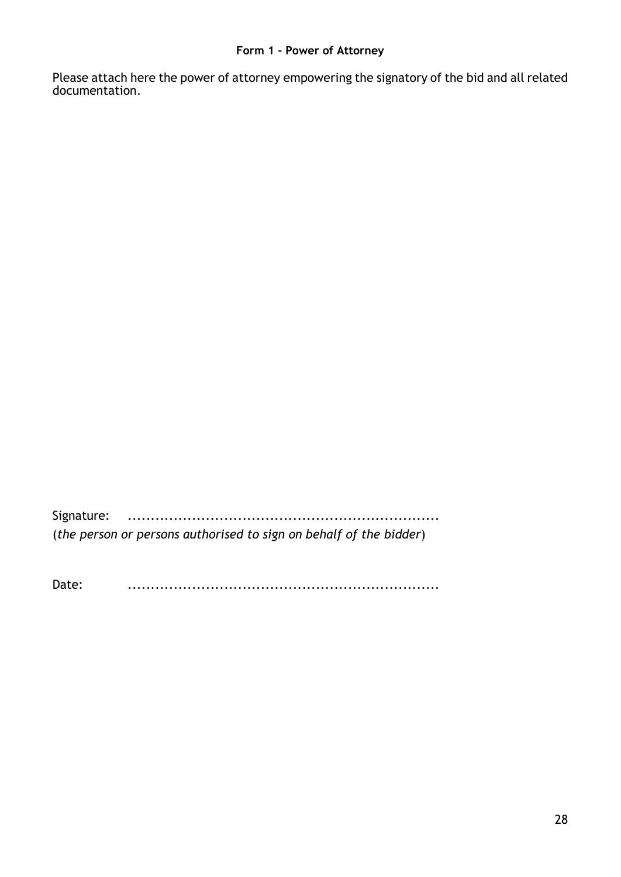### **Form 1 - Power of Attorney**

<span id="page-28-0"></span>Please attach here the power of attorney empowering the signatory of the bid and all related documentation.

Signature: .................................................................... (*the person or persons authorised to sign on behalf of the bidder*)

Date: ....................................................................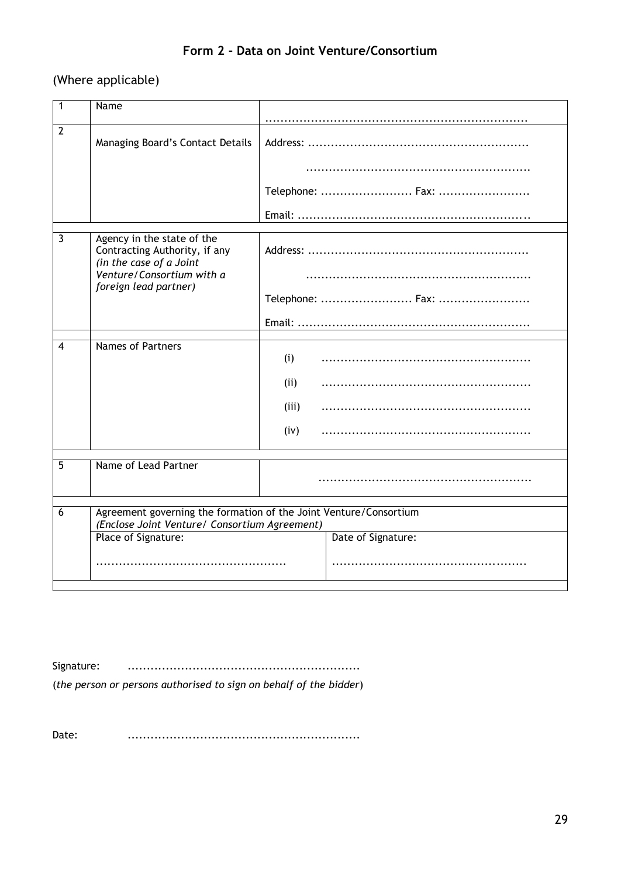# **Form 2 - Data on Joint Venture/Consortium**

# <span id="page-29-0"></span>(Where applicable)

| 1              | Name                                                                                                               |                    |  |  |  |
|----------------|--------------------------------------------------------------------------------------------------------------------|--------------------|--|--|--|
|                |                                                                                                                    |                    |  |  |  |
| $\overline{2}$ |                                                                                                                    |                    |  |  |  |
|                | Managing Board's Contact Details                                                                                   |                    |  |  |  |
|                |                                                                                                                    |                    |  |  |  |
|                |                                                                                                                    | Telephone:  Fax:   |  |  |  |
|                |                                                                                                                    |                    |  |  |  |
| 3              |                                                                                                                    |                    |  |  |  |
|                | Agency in the state of the<br>Contracting Authority, if any<br>(in the case of a Joint                             |                    |  |  |  |
|                | Venture/Consortium with a<br>foreign lead partner)                                                                 |                    |  |  |  |
|                |                                                                                                                    | Telephone:  Fax:   |  |  |  |
|                |                                                                                                                    |                    |  |  |  |
| 4              | <b>Names of Partners</b>                                                                                           |                    |  |  |  |
|                |                                                                                                                    | (i)                |  |  |  |
|                |                                                                                                                    | (ii)               |  |  |  |
|                |                                                                                                                    | (iii)              |  |  |  |
|                |                                                                                                                    | (iv)               |  |  |  |
|                |                                                                                                                    |                    |  |  |  |
| $\overline{5}$ | Name of Lead Partner                                                                                               |                    |  |  |  |
|                |                                                                                                                    |                    |  |  |  |
| 6              | Agreement governing the formation of the Joint Venture/Consortium<br>(Enclose Joint Venture/ Consortium Agreement) |                    |  |  |  |
|                | Place of Signature:                                                                                                | Date of Signature: |  |  |  |
|                |                                                                                                                    |                    |  |  |  |
|                |                                                                                                                    |                    |  |  |  |

Signature: .............................................................

(*the person or persons authorised to sign on behalf of the bidder*)

Date: .............................................................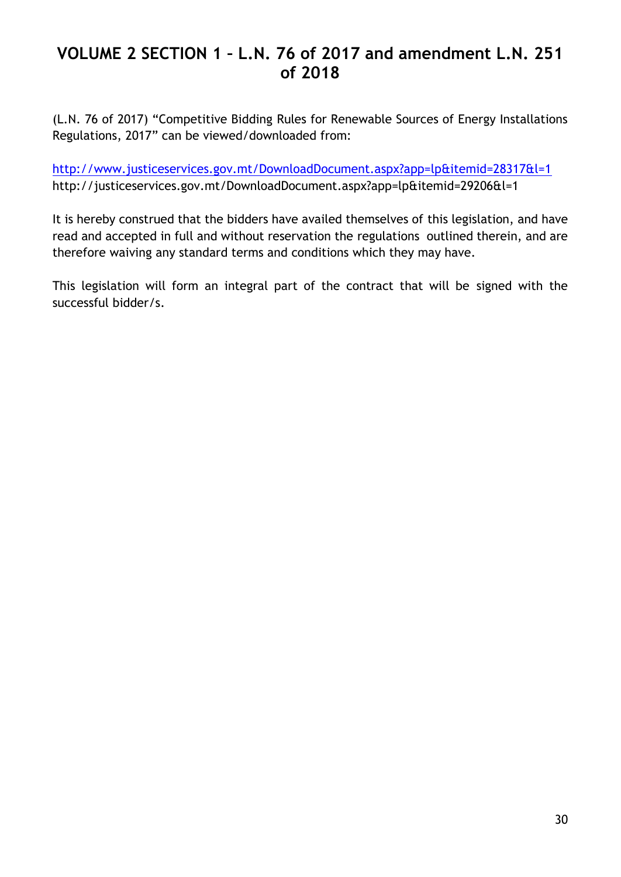# <span id="page-30-0"></span>**VOLUME 2 SECTION 1 – L.N. 76 of 2017 and amendment L.N. 251 of 2018**

(L.N. 76 of 2017) "Competitive Bidding Rules for Renewable Sources of Energy Installations Regulations, 2017" can be viewed/downloaded from:

<http://www.justiceservices.gov.mt/DownloadDocument.aspx?app=lp&itemid=28317&l=1> http://justiceservices.gov.mt/DownloadDocument.aspx?app=lp&itemid=29206&l=1

It is hereby construed that the bidders have availed themselves of this legislation, and have read and accepted in full and without reservation the regulations outlined therein, and are therefore waiving any standard terms and conditions which they may have.

This legislation will form an integral part of the contract that will be signed with the successful bidder/s.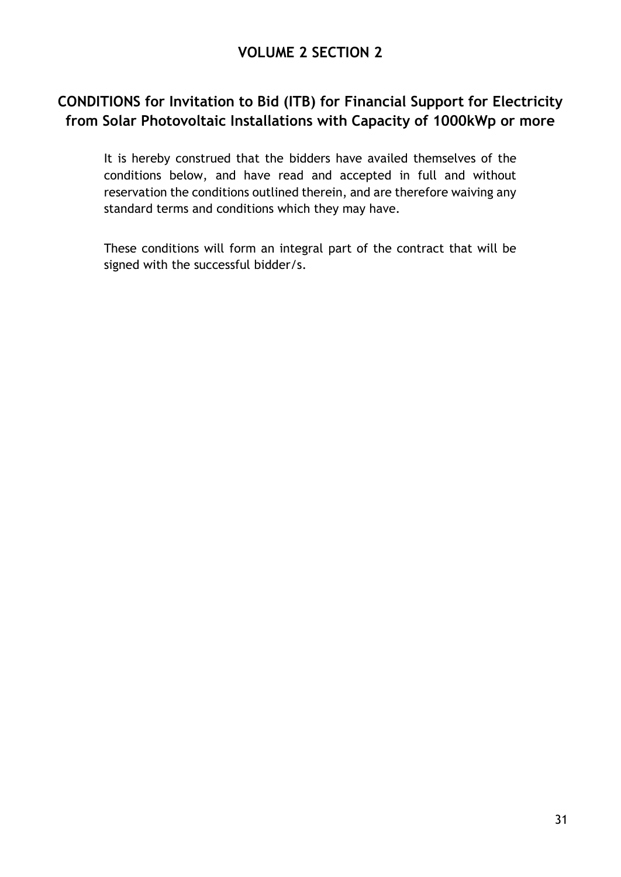# <span id="page-31-1"></span><span id="page-31-0"></span>**CONDITIONS for Invitation to Bid (ITB) for Financial Support for Electricity from Solar Photovoltaic Installations with Capacity of 1000kWp or more**

It is hereby construed that the bidders have availed themselves of the conditions below, and have read and accepted in full and without reservation the conditions outlined therein, and are therefore waiving any standard terms and conditions which they may have.

These conditions will form an integral part of the contract that will be signed with the successful bidder/s.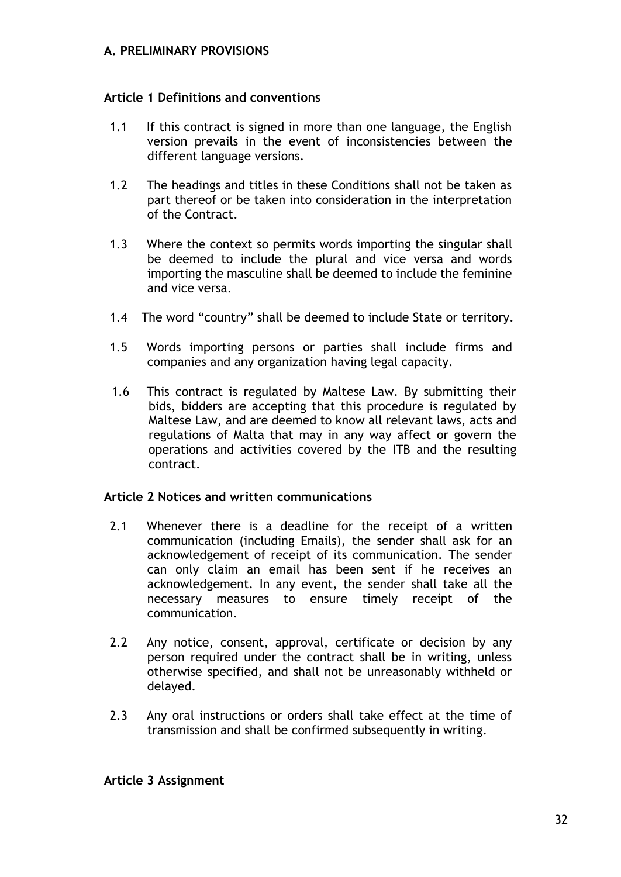# <span id="page-32-0"></span>**A. PRELIMINARY PROVISIONS**

### **Article 1 Definitions and conventions**

- 1.1 If this contract is signed in more than one language, the English version prevails in the event of inconsistencies between the different language versions.
- 1.2 The headings and titles in these Conditions shall not be taken as part thereof or be taken into consideration in the interpretation of the Contract.
- 1.3 Where the context so permits words importing the singular shall be deemed to include the plural and vice versa and words importing the masculine shall be deemed to include the feminine and vice versa.
- 1.4 The word "country" shall be deemed to include State or territory.
- 1.5 Words importing persons or parties shall include firms and companies and any organization having legal capacity.
- 1.6 This contract is regulated by Maltese Law. By submitting their bids, bidders are accepting that this procedure is regulated by Maltese Law, and are deemed to know all relevant laws, acts and regulations of Malta that may in any way affect or govern the operations and activities covered by the ITB and the resulting contract.

### **Article 2 Notices and written communications**

- 2.1 Whenever there is a deadline for the receipt of a written communication (including Emails), the sender shall ask for an acknowledgement of receipt of its communication. The sender can only claim an email has been sent if he receives an acknowledgement. In any event, the sender shall take all the necessary measures to ensure timely receipt of the communication.
- 2.2 Any notice, consent, approval, certificate or decision by any person required under the contract shall be in writing, unless otherwise specified, and shall not be unreasonably withheld or delayed.
- 2.3 Any oral instructions or orders shall take effect at the time of transmission and shall be confirmed subsequently in writing.

### **Article 3 Assignment**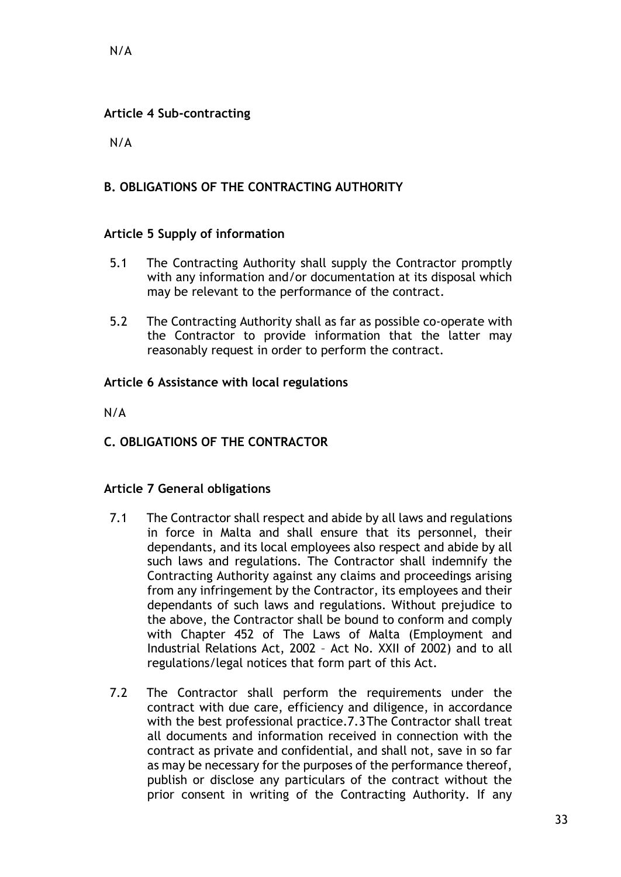# **Article 4 Sub-contracting**

N/A

# <span id="page-33-0"></span>**B. OBLIGATIONS OF THE CONTRACTING AUTHORITY**

# **Article 5 Supply of information**

- 5.1 The Contracting Authority shall supply the Contractor promptly with any information and/or documentation at its disposal which may be relevant to the performance of the contract.
- 5.2 The Contracting Authority shall as far as possible co-operate with the Contractor to provide information that the latter may reasonably request in order to perform the contract.

# **Article 6 Assistance with local regulations**

N/A

<span id="page-33-1"></span>**C. OBLIGATIONS OF THE CONTRACTOR**

# **Article 7 General obligations**

- 7.1 The Contractor shall respect and abide by all laws and regulations in force in Malta and shall ensure that its personnel, their dependants, and its local employees also respect and abide by all such laws and regulations. The Contractor shall indemnify the Contracting Authority against any claims and proceedings arising from any infringement by the Contractor, its employees and their dependants of such laws and regulations. Without prejudice to the above, the Contractor shall be bound to conform and comply with Chapter 452 of The Laws of Malta (Employment and Industrial Relations Act, 2002 – Act No. XXII of 2002) and to all regulations/legal notices that form part of this Act.
- 7.2 The Contractor shall perform the requirements under the contract with due care, efficiency and diligence, in accordance with the best professional practice.7.3The Contractor shall treat all documents and information received in connection with the contract as private and confidential, and shall not, save in so far as may be necessary for the purposes of the performance thereof, publish or disclose any particulars of the contract without the prior consent in writing of the Contracting Authority. If any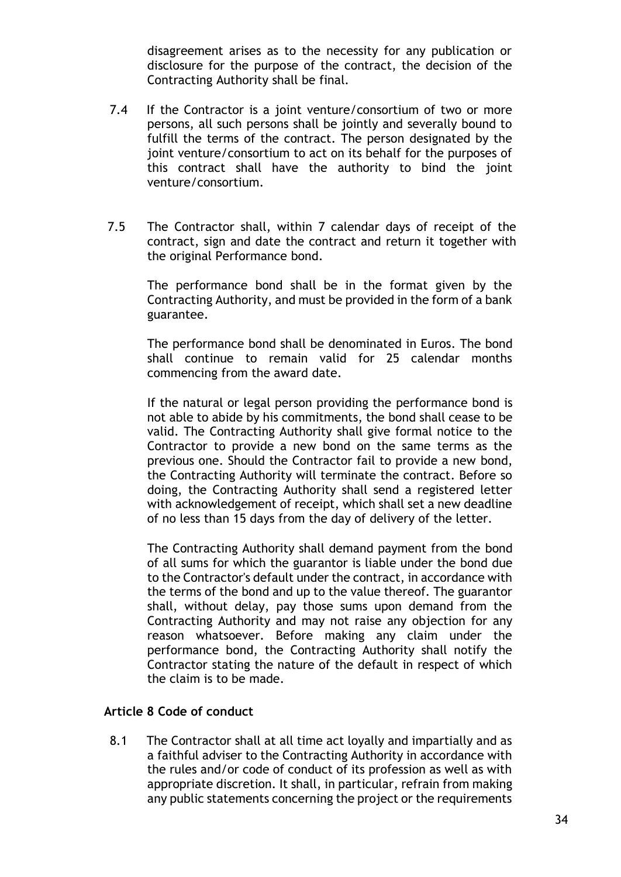disagreement arises as to the necessity for any publication or disclosure for the purpose of the contract, the decision of the Contracting Authority shall be final.

- 7.4 If the Contractor is a joint venture/consortium of two or more persons, all such persons shall be jointly and severally bound to fulfill the terms of the contract. The person designated by the joint venture/consortium to act on its behalf for the purposes of this contract shall have the authority to bind the joint venture/consortium.
- 7.5 The Contractor shall, within 7 calendar days of receipt of the contract, sign and date the contract and return it together with the original Performance bond.

The performance bond shall be in the format given by the Contracting Authority, and must be provided in the form of a bank guarantee.

The performance bond shall be denominated in Euros. The bond shall continue to remain valid for 25 calendar months commencing from the award date.

If the natural or legal person providing the performance bond is not able to abide by his commitments, the bond shall cease to be valid. The Contracting Authority shall give formal notice to the Contractor to provide a new bond on the same terms as the previous one. Should the Contractor fail to provide a new bond, the Contracting Authority will terminate the contract. Before so doing, the Contracting Authority shall send a registered letter with acknowledgement of receipt, which shall set a new deadline of no less than 15 days from the day of delivery of the letter.

The Contracting Authority shall demand payment from the bond of all sums for which the guarantor is liable under the bond due to the Contractor's default under the contract, in accordance with the terms of the bond and up to the value thereof. The guarantor shall, without delay, pay those sums upon demand from the Contracting Authority and may not raise any objection for any reason whatsoever. Before making any claim under the performance bond, the Contracting Authority shall notify the Contractor stating the nature of the default in respect of which the claim is to be made.

#### **Article 8 Code of conduct**

8.1 The Contractor shall at all time act loyally and impartially and as a faithful adviser to the Contracting Authority in accordance with the rules and/or code of conduct of its profession as well as with appropriate discretion. It shall, in particular, refrain from making any public statements concerning the project or the requirements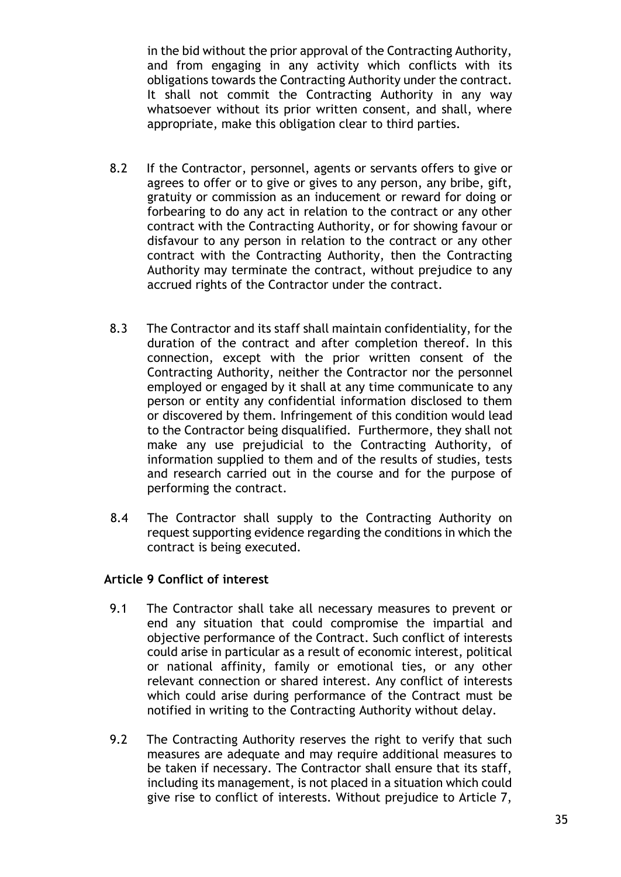in the bid without the prior approval of the Contracting Authority, and from engaging in any activity which conflicts with its obligations towards the Contracting Authority under the contract. It shall not commit the Contracting Authority in any way whatsoever without its prior written consent, and shall, where appropriate, make this obligation clear to third parties.

- 8.2 If the Contractor, personnel, agents or servants offers to give or agrees to offer or to give or gives to any person, any bribe, gift, gratuity or commission as an inducement or reward for doing or forbearing to do any act in relation to the contract or any other contract with the Contracting Authority, or for showing favour or disfavour to any person in relation to the contract or any other contract with the Contracting Authority, then the Contracting Authority may terminate the contract, without prejudice to any accrued rights of the Contractor under the contract.
- 8.3 The Contractor and its staff shall maintain confidentiality, for the duration of the contract and after completion thereof. In this connection, except with the prior written consent of the Contracting Authority, neither the Contractor nor the personnel employed or engaged by it shall at any time communicate to any person or entity any confidential information disclosed to them or discovered by them. Infringement of this condition would lead to the Contractor being disqualified. Furthermore, they shall not make any use prejudicial to the Contracting Authority, of information supplied to them and of the results of studies, tests and research carried out in the course and for the purpose of performing the contract.
- 8.4 The Contractor shall supply to the Contracting Authority on request supporting evidence regarding the conditions in which the contract is being executed.

# **Article 9 Conflict of interest**

- 9.1 The Contractor shall take all necessary measures to prevent or end any situation that could compromise the impartial and objective performance of the Contract. Such conflict of interests could arise in particular as a result of economic interest, political or national affinity, family or emotional ties, or any other relevant connection or shared interest. Any conflict of interests which could arise during performance of the Contract must be notified in writing to the Contracting Authority without delay.
- 9.2 The Contracting Authority reserves the right to verify that such measures are adequate and may require additional measures to be taken if necessary. The Contractor shall ensure that its staff, including its management, is not placed in a situation which could give rise to conflict of interests. Without prejudice to Article 7,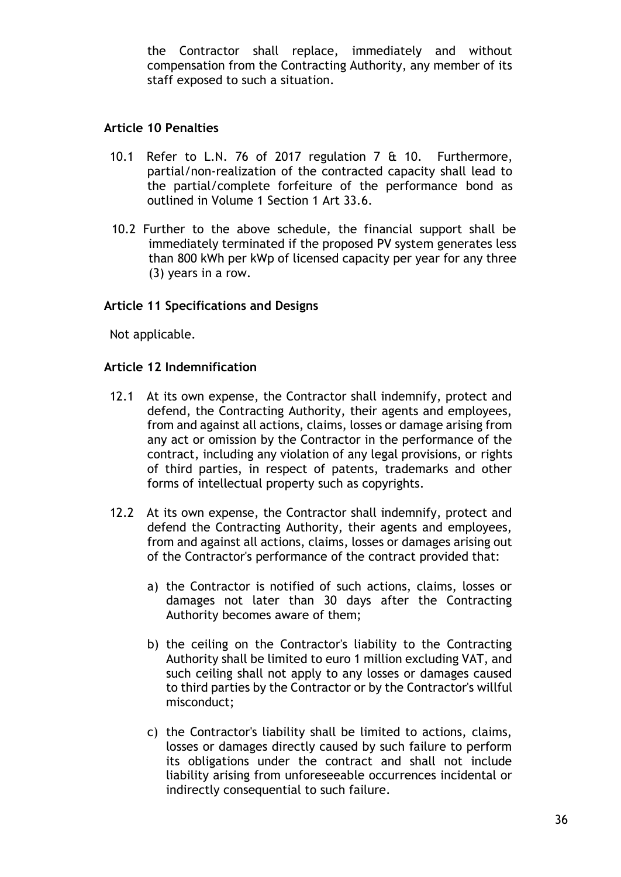the Contractor shall replace, immediately and without compensation from the Contracting Authority, any member of its staff exposed to such a situation.

### **Article 10 Penalties**

- 10.1 Refer to L.N. 76 of 2017 regulation 7 & 10. Furthermore, partial/non-realization of the contracted capacity shall lead to the partial/complete forfeiture of the performance bond as outlined in Volume 1 Section 1 Art 33.6.
- 10.2 Further to the above schedule, the financial support shall be immediately terminated if the proposed PV system generates less than 800 kWh per kWp of licensed capacity per year for any three (3) years in a row.

# **Article 11 Specifications and Designs**

Not applicable.

### **Article 12 Indemnification**

- 12.1 At its own expense, the Contractor shall indemnify, protect and defend, the Contracting Authority, their agents and employees, from and against all actions, claims, losses or damage arising from any act or omission by the Contractor in the performance of the contract, including any violation of any legal provisions, or rights of third parties, in respect of patents, trademarks and other forms of intellectual property such as copyrights.
- 12.2 At its own expense, the Contractor shall indemnify, protect and defend the Contracting Authority, their agents and employees, from and against all actions, claims, losses or damages arising out of the Contractor's performance of the contract provided that:
	- a) the Contractor is notified of such actions, claims, losses or damages not later than 30 days after the Contracting Authority becomes aware of them;
	- b) the ceiling on the Contractor's liability to the Contracting Authority shall be limited to euro 1 million excluding VAT, and such ceiling shall not apply to any losses or damages caused to third parties by the Contractor or by the Contractor's willful misconduct;
	- c) the Contractor's liability shall be limited to actions, claims, losses or damages directly caused by such failure to perform its obligations under the contract and shall not include liability arising from unforeseeable occurrences incidental or indirectly consequential to such failure.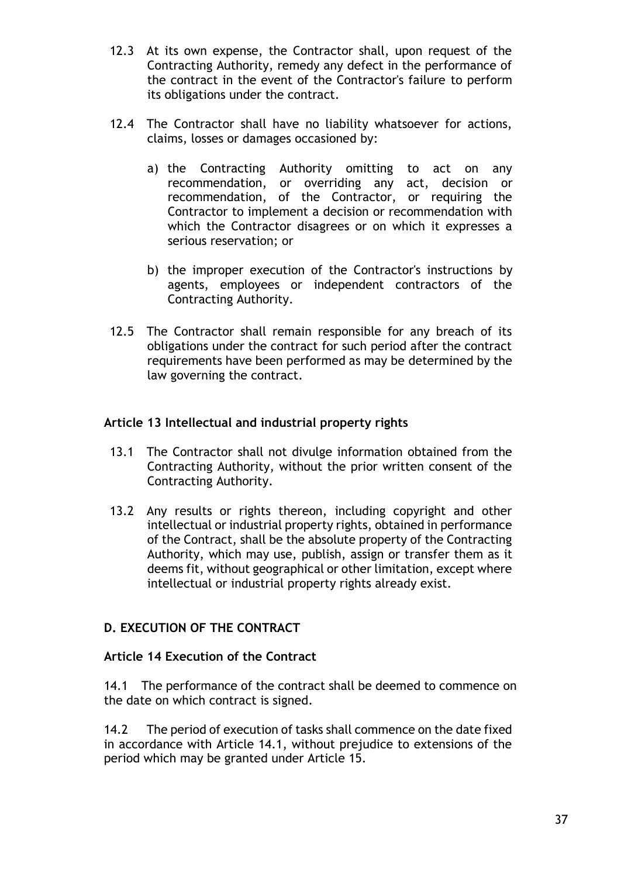- 12.3 At its own expense, the Contractor shall, upon request of the Contracting Authority, remedy any defect in the performance of the contract in the event of the Contractor's failure to perform its obligations under the contract.
- 12.4 The Contractor shall have no liability whatsoever for actions, claims, losses or damages occasioned by:
	- a) the Contracting Authority omitting to act on any recommendation, or overriding any act, decision or recommendation, of the Contractor, or requiring the Contractor to implement a decision or recommendation with which the Contractor disagrees or on which it expresses a serious reservation; or
	- b) the improper execution of the Contractor's instructions by agents, employees or independent contractors of the Contracting Authority.
- 12.5 The Contractor shall remain responsible for any breach of its obligations under the contract for such period after the contract requirements have been performed as may be determined by the law governing the contract.

# **Article 13 Intellectual and industrial property rights**

- 13.1 The Contractor shall not divulge information obtained from the Contracting Authority, without the prior written consent of the Contracting Authority.
- 13.2 Any results or rights thereon, including copyright and other intellectual or industrial property rights, obtained in performance of the Contract, shall be the absolute property of the Contracting Authority, which may use, publish, assign or transfer them as it deems fit, without geographical or other limitation, except where intellectual or industrial property rights already exist.

# <span id="page-37-0"></span>**D. EXECUTION OF THE CONTRACT**

# **Article 14 Execution of the Contract**

14.1 The performance of the contract shall be deemed to commence on the date on which contract is signed.

14.2 The period of execution of tasks shall commence on the date fixed in accordance with Article 14.1, without prejudice to extensions of the period which may be granted under Article 15.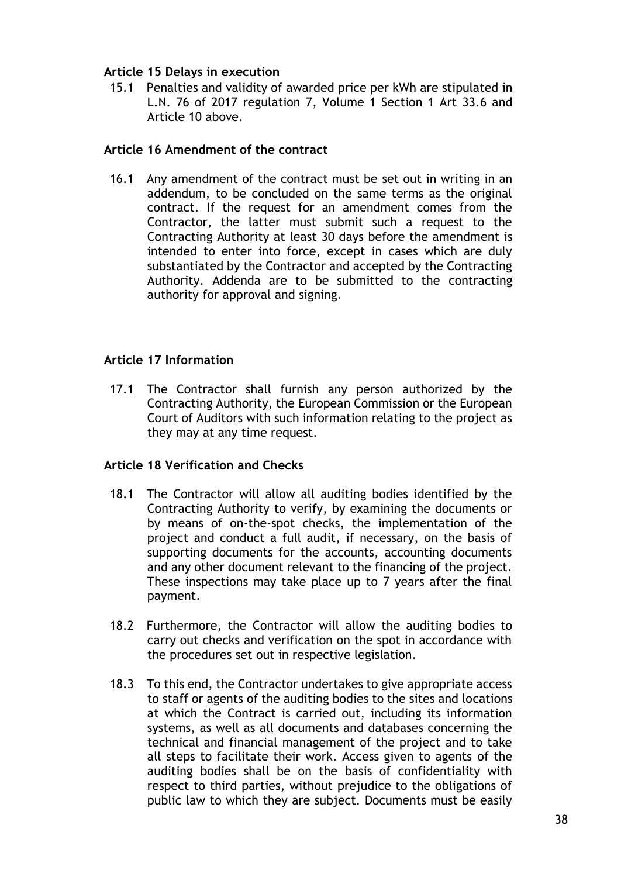# **Article 15 Delays in execution**

15.1 Penalties and validity of awarded price per kWh are stipulated in L.N. 76 of 2017 regulation 7, Volume 1 Section 1 Art 33.6 and Article 10 above.

## **Article 16 Amendment of the contract**

16.1 Any amendment of the contract must be set out in writing in an addendum, to be concluded on the same terms as the original contract. If the request for an amendment comes from the Contractor, the latter must submit such a request to the Contracting Authority at least 30 days before the amendment is intended to enter into force, except in cases which are duly substantiated by the Contractor and accepted by the Contracting Authority. Addenda are to be submitted to the contracting authority for approval and signing.

# **Article 17 Information**

17.1 The Contractor shall furnish any person authorized by the Contracting Authority, the European Commission or the European Court of Auditors with such information relating to the project as they may at any time request.

### **Article 18 Verification and Checks**

- 18.1 The Contractor will allow all auditing bodies identified by the Contracting Authority to verify, by examining the documents or by means of on-the-spot checks, the implementation of the project and conduct a full audit, if necessary, on the basis of supporting documents for the accounts, accounting documents and any other document relevant to the financing of the project. These inspections may take place up to 7 years after the final payment.
- 18.2 Furthermore, the Contractor will allow the auditing bodies to carry out checks and verification on the spot in accordance with the procedures set out in respective legislation.
- 18.3 To this end, the Contractor undertakes to give appropriate access to staff or agents of the auditing bodies to the sites and locations at which the Contract is carried out, including its information systems, as well as all documents and databases concerning the technical and financial management of the project and to take all steps to facilitate their work. Access given to agents of the auditing bodies shall be on the basis of confidentiality with respect to third parties, without prejudice to the obligations of public law to which they are subject. Documents must be easily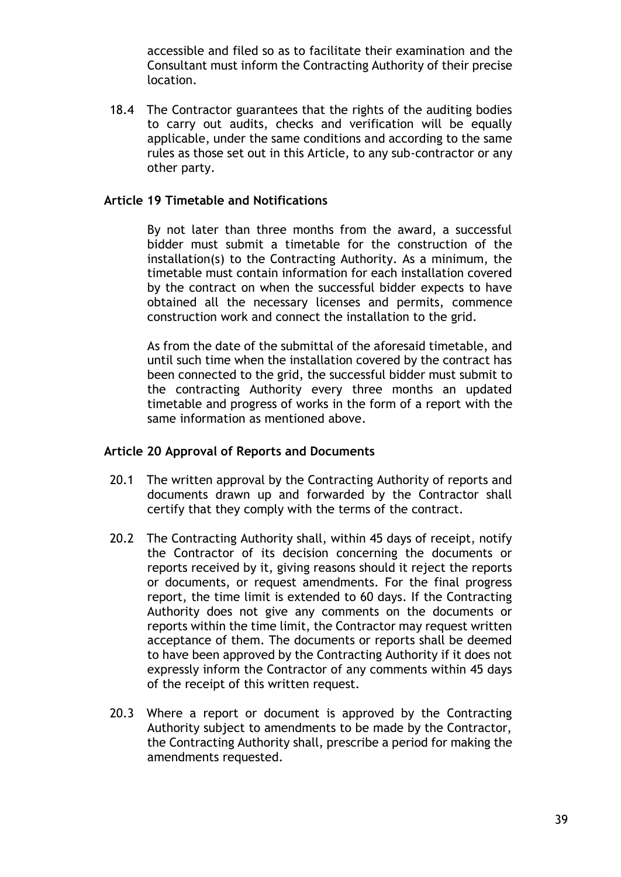accessible and filed so as to facilitate their examination and the Consultant must inform the Contracting Authority of their precise location.

18.4 The Contractor guarantees that the rights of the auditing bodies to carry out audits, checks and verification will be equally applicable, under the same conditions and according to the same rules as those set out in this Article, to any sub-contractor or any other party.

### **Article 19 Timetable and Notifications**

 By not later than three months from the award, a successful bidder must submit a timetable for the construction of the installation(s) to the Contracting Authority. As a minimum, the timetable must contain information for each installation covered by the contract on when the successful bidder expects to have obtained all the necessary licenses and permits, commence construction work and connect the installation to the grid.

 As from the date of the submittal of the aforesaid timetable, and until such time when the installation covered by the contract has been connected to the grid, the successful bidder must submit to the contracting Authority every three months an updated timetable and progress of works in the form of a report with the same information as mentioned above.

#### **Article 20 Approval of Reports and Documents**

- 20.1 The written approval by the Contracting Authority of reports and documents drawn up and forwarded by the Contractor shall certify that they comply with the terms of the contract.
- 20.2 The Contracting Authority shall, within 45 days of receipt, notify the Contractor of its decision concerning the documents or reports received by it, giving reasons should it reject the reports or documents, or request amendments. For the final progress report, the time limit is extended to 60 days. If the Contracting Authority does not give any comments on the documents or reports within the time limit, the Contractor may request written acceptance of them. The documents or reports shall be deemed to have been approved by the Contracting Authority if it does not expressly inform the Contractor of any comments within 45 days of the receipt of this written request.
- 20.3 Where a report or document is approved by the Contracting Authority subject to amendments to be made by the Contractor, the Contracting Authority shall, prescribe a period for making the amendments requested.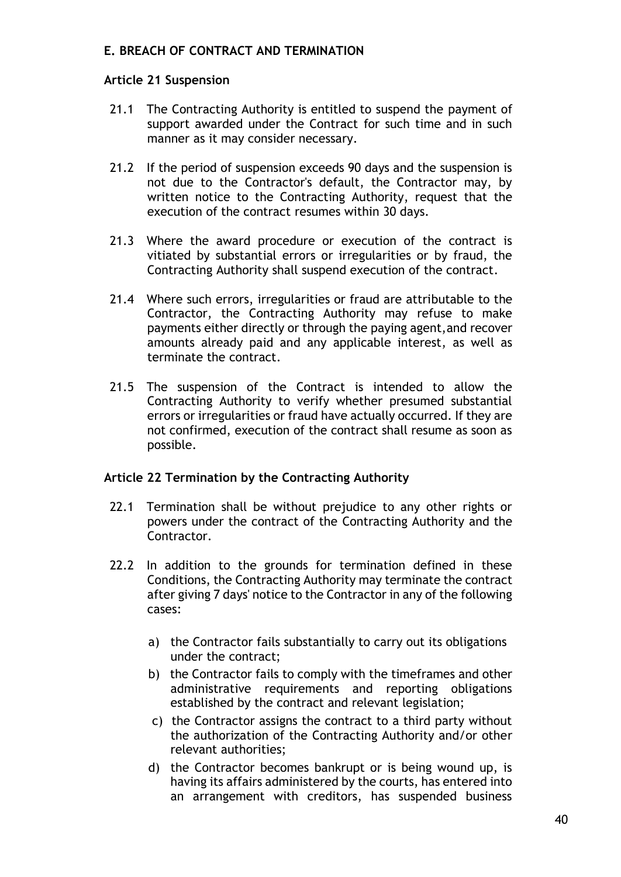# <span id="page-40-0"></span>**E. BREACH OF CONTRACT AND TERMINATION**

### **Article 21 Suspension**

- 21.1 The Contracting Authority is entitled to suspend the payment of support awarded under the Contract for such time and in such manner as it may consider necessary.
- 21.2 If the period of suspension exceeds 90 days and the suspension is not due to the Contractor's default, the Contractor may, by written notice to the Contracting Authority, request that the execution of the contract resumes within 30 days.
- 21.3 Where the award procedure or execution of the contract is vitiated by substantial errors or irregularities or by fraud, the Contracting Authority shall suspend execution of the contract.
- 21.4 Where such errors, irregularities or fraud are attributable to the Contractor, the Contracting Authority may refuse to make payments either directly or through the paying agent,and recover amounts already paid and any applicable interest, as well as terminate the contract.
- 21.5 The suspension of the Contract is intended to allow the Contracting Authority to verify whether presumed substantial errors or irregularities or fraud have actually occurred. If they are not confirmed, execution of the contract shall resume as soon as possible.

### **Article 22 Termination by the Contracting Authority**

- 22.1 Termination shall be without prejudice to any other rights or powers under the contract of the Contracting Authority and the Contractor.
- 22.2 In addition to the grounds for termination defined in these Conditions, the Contracting Authority may terminate the contract after giving 7 days' notice to the Contractor in any of the following cases:
	- a) the Contractor fails substantially to carry out its obligations under the contract;
	- b) the Contractor fails to comply with the timeframes and other administrative requirements and reporting obligations established by the contract and relevant legislation;
	- c) the Contractor assigns the contract to a third party without the authorization of the Contracting Authority and/or other relevant authorities;
	- d) the Contractor becomes bankrupt or is being wound up, is having its affairs administered by the courts, has entered into an arrangement with creditors, has suspended business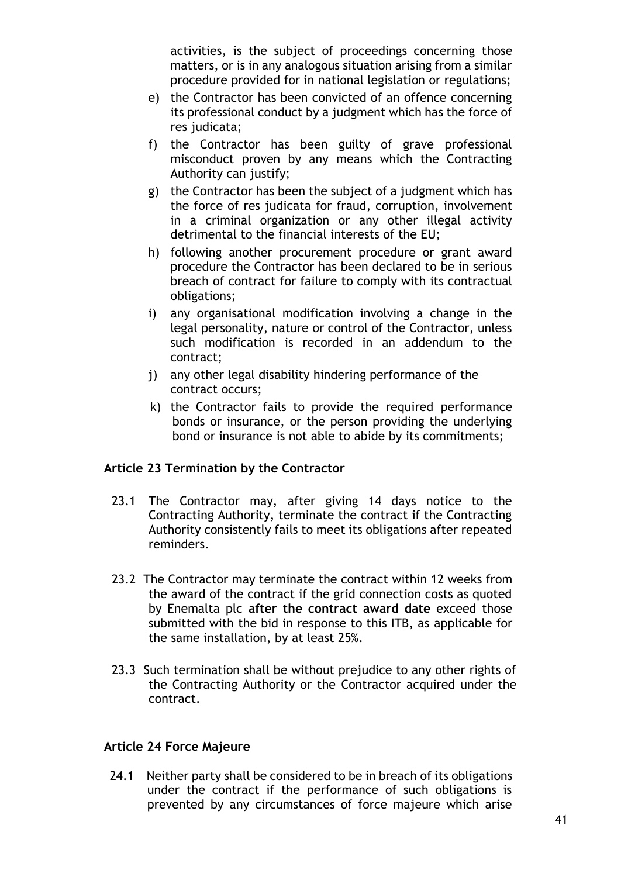activities, is the subject of proceedings concerning those matters, or is in any analogous situation arising from a similar procedure provided for in national legislation or regulations;

- e) the Contractor has been convicted of an offence concerning its professional conduct by a judgment which has the force of res judicata;
- f) the Contractor has been guilty of grave professional misconduct proven by any means which the Contracting Authority can justify;
- g) the Contractor has been the subject of a judgment which has the force of res judicata for fraud, corruption, involvement in a criminal organization or any other illegal activity detrimental to the financial interests of the EU;
- h) following another procurement procedure or grant award procedure the Contractor has been declared to be in serious breach of contract for failure to comply with its contractual obligations;
- i) any organisational modification involving a change in the legal personality, nature or control of the Contractor, unless such modification is recorded in an addendum to the contract;
- j) any other legal disability hindering performance of the contract occurs;
- k) the Contractor fails to provide the required performance bonds or insurance, or the person providing the underlying bond or insurance is not able to abide by its commitments;

# **Article 23 Termination by the Contractor**

- 23.1 The Contractor may, after giving 14 days notice to the Contracting Authority, terminate the contract if the Contracting Authority consistently fails to meet its obligations after repeated reminders.
- 23.2 The Contractor may terminate the contract within 12 weeks from the award of the contract if the grid connection costs as quoted by Enemalta plc **after the contract award date** exceed those submitted with the bid in response to this ITB, as applicable for the same installation, by at least 25%.
- 23.3 Such termination shall be without prejudice to any other rights of the Contracting Authority or the Contractor acquired under the contract.

### **Article 24 Force Majeure**

24.1 Neither party shall be considered to be in breach of its obligations under the contract if the performance of such obligations is prevented by any circumstances of force majeure which arise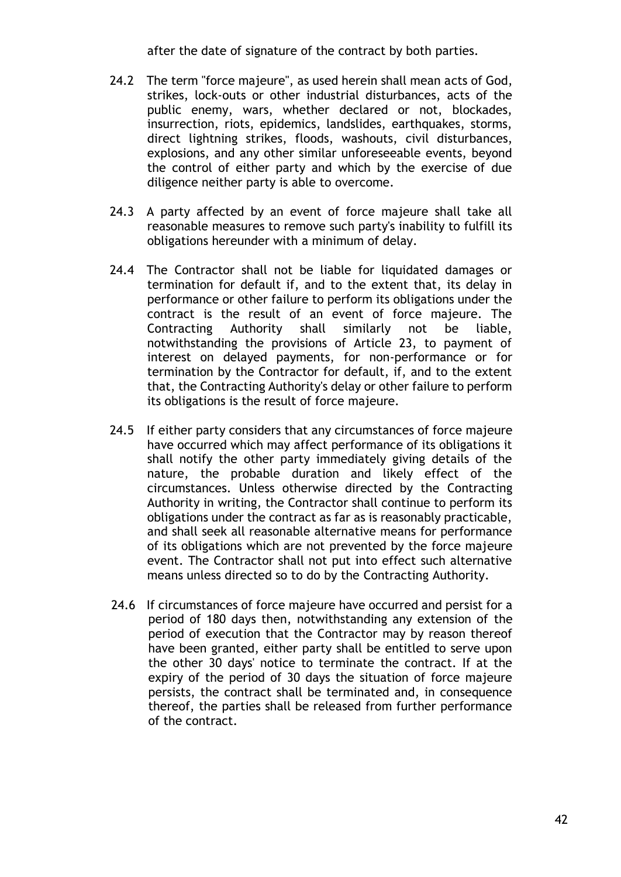after the date of signature of the contract by both parties.

- 24.2 The term "force majeure", as used herein shall mean acts of God, strikes, lock-outs or other industrial disturbances, acts of the public enemy, wars, whether declared or not, blockades, insurrection, riots, epidemics, landslides, earthquakes, storms, direct lightning strikes, floods, washouts, civil disturbances, explosions, and any other similar unforeseeable events, beyond the control of either party and which by the exercise of due diligence neither party is able to overcome.
- 24.3 A party affected by an event of force majeure shall take all reasonable measures to remove such party's inability to fulfill its obligations hereunder with a minimum of delay.
- 24.4 The Contractor shall not be liable for liquidated damages or termination for default if, and to the extent that, its delay in performance or other failure to perform its obligations under the contract is the result of an event of force majeure. The Contracting Authority shall similarly not be liable, notwithstanding the provisions of Article 23, to payment of interest on delayed payments, for non-performance or for termination by the Contractor for default, if, and to the extent that, the Contracting Authority's delay or other failure to perform its obligations is the result of force majeure.
- 24.5 If either party considers that any circumstances of force majeure have occurred which may affect performance of its obligations it shall notify the other party immediately giving details of the nature, the probable duration and likely effect of the circumstances. Unless otherwise directed by the Contracting Authority in writing, the Contractor shall continue to perform its obligations under the contract as far as is reasonably practicable, and shall seek all reasonable alternative means for performance of its obligations which are not prevented by the force majeure event. The Contractor shall not put into effect such alternative means unless directed so to do by the Contracting Authority.
- 24.6 If circumstances of force majeure have occurred and persist for a period of 180 days then, notwithstanding any extension of the period of execution that the Contractor may by reason thereof have been granted, either party shall be entitled to serve upon the other 30 days' notice to terminate the contract. If at the expiry of the period of 30 days the situation of force majeure persists, the contract shall be terminated and, in consequence thereof, the parties shall be released from further performance of the contract.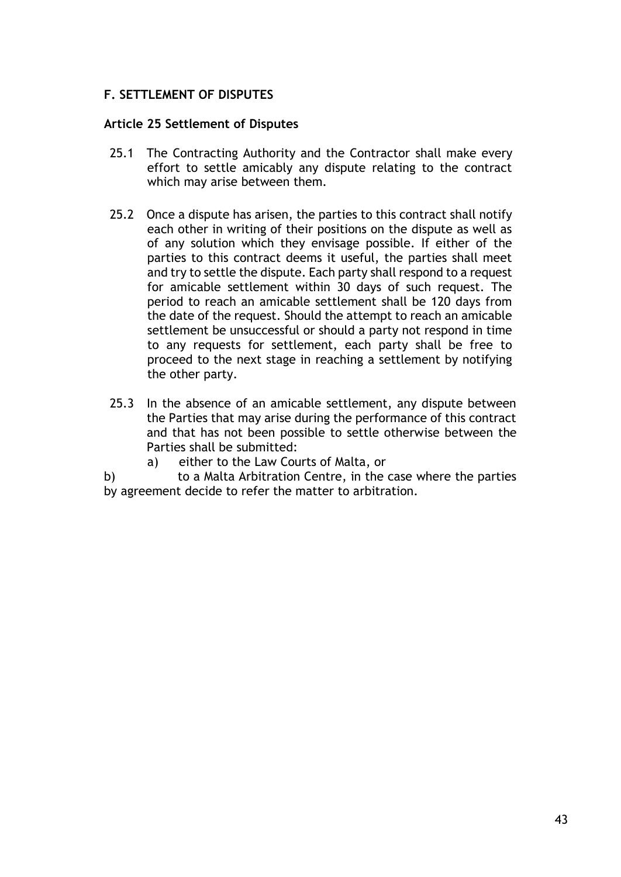# <span id="page-43-0"></span>**F. SETTLEMENT OF DISPUTES**

### **Article 25 Settlement of Disputes**

- 25.1 The Contracting Authority and the Contractor shall make every effort to settle amicably any dispute relating to the contract which may arise between them.
- 25.2 Once a dispute has arisen, the parties to this contract shall notify each other in writing of their positions on the dispute as well as of any solution which they envisage possible. If either of the parties to this contract deems it useful, the parties shall meet and try to settle the dispute. Each party shall respond to a request for amicable settlement within 30 days of such request. The period to reach an amicable settlement shall be 120 days from the date of the request. Should the attempt to reach an amicable settlement be unsuccessful or should a party not respond in time to any requests for settlement, each party shall be free to proceed to the next stage in reaching a settlement by notifying the other party.
- 25.3 In the absence of an amicable settlement, any dispute between the Parties that may arise during the performance of this contract and that has not been possible to settle otherwise between the Parties shall be submitted:
	- a) either to the Law Courts of Malta, or
- b) to a Malta Arbitration Centre, in the case where the parties by agreement decide to refer the matter to arbitration.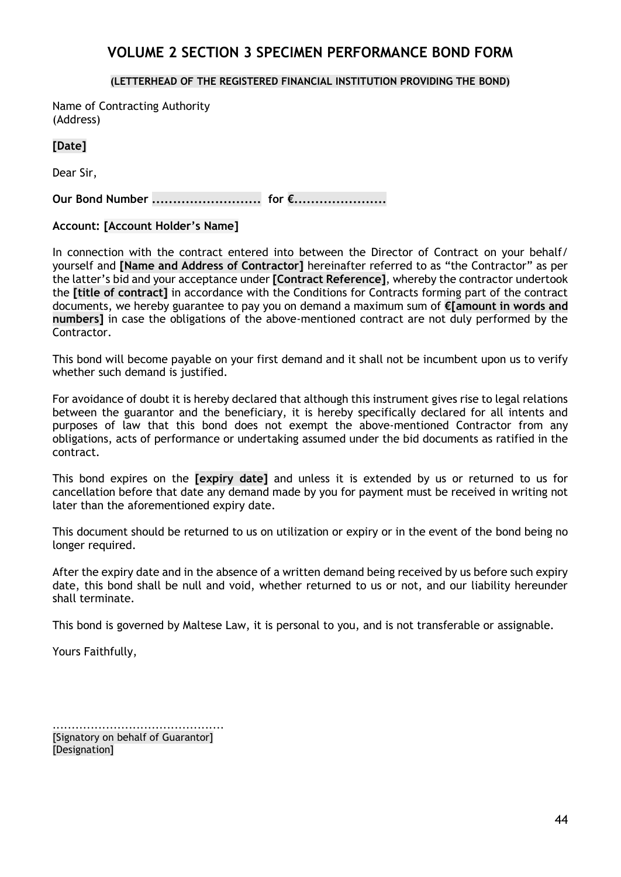# **VOLUME 2 SECTION 3 SPECIMEN PERFORMANCE BOND FORM**

#### **(LETTERHEAD OF THE REGISTERED FINANCIAL INSTITUTION PROVIDING THE BOND)**

<span id="page-44-0"></span>Name of Contracting Authority (Address)

### **[Date]**

Dear Sir,

**Our Bond Number .......................... for €......................**

### **Account: [Account Holder's Name]**

In connection with the contract entered into between the Director of Contract on your behalf/ yourself and **[Name and Address of Contractor]** hereinafter referred to as "the Contractor" as per the latter's bid and your acceptance under **[Contract Reference]**, whereby the contractor undertook the **[title of contract]** in accordance with the Conditions for Contracts forming part of the contract documents, we hereby guarantee to pay you on demand a maximum sum of **€[amount in words and numbers]** in case the obligations of the above-mentioned contract are not duly performed by the Contractor.

This bond will become payable on your first demand and it shall not be incumbent upon us to verify whether such demand is justified.

For avoidance of doubt it is hereby declared that although this instrument gives rise to legal relations between the guarantor and the beneficiary, it is hereby specifically declared for all intents and purposes of law that this bond does not exempt the above-mentioned Contractor from any obligations, acts of performance or undertaking assumed under the bid documents as ratified in the contract.

This bond expires on the **[expiry date]** and unless it is extended by us or returned to us for cancellation before that date any demand made by you for payment must be received in writing not later than the aforementioned expiry date.

This document should be returned to us on utilization or expiry or in the event of the bond being no longer required.

After the expiry date and in the absence of a written demand being received by us before such expiry date, this bond shall be null and void, whether returned to us or not, and our liability hereunder shall terminate.

This bond is governed by Maltese Law, it is personal to you, and is not transferable or assignable.

Yours Faithfully,

............................................. [Signatory on behalf of Guarantor] [Designation]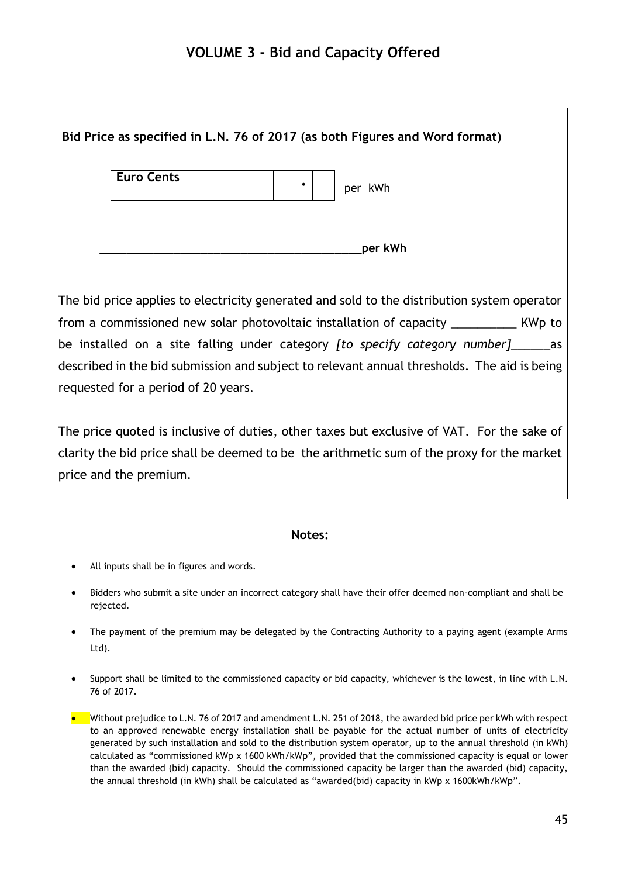# <span id="page-45-0"></span>**VOLUME 3 - Bid and Capacity Offered**

| Bid Price as specified in L.N. 76 of 2017 (as both Figures and Word format)                                                                                                                                                                                                                                                                                                                                                  |
|------------------------------------------------------------------------------------------------------------------------------------------------------------------------------------------------------------------------------------------------------------------------------------------------------------------------------------------------------------------------------------------------------------------------------|
| <b>Euro Cents</b><br>$\bullet$<br>per kWh                                                                                                                                                                                                                                                                                                                                                                                    |
| per kWh                                                                                                                                                                                                                                                                                                                                                                                                                      |
| The bid price applies to electricity generated and sold to the distribution system operator<br>from a commissioned new solar photovoltaic installation of capacity ____________ KWp to<br>be installed on a site falling under category <i>[to specify category number]</i> _______ as<br>described in the bid submission and subject to relevant annual thresholds. The aid is being<br>requested for a period of 20 years. |
| The price quoted is inclusive of duties, other taxes but exclusive of VAT. For the sake of<br>clarity the bid price shall be deemed to be the arithmetic sum of the proxy for the market<br>price and the premium.                                                                                                                                                                                                           |

#### **Notes:**

- All inputs shall be in figures and words.
- Bidders who submit a site under an incorrect category shall have their offer deemed non-compliant and shall be rejected.
- The payment of the premium may be delegated by the Contracting Authority to a paying agent (example Arms Ltd).
- Support shall be limited to the commissioned capacity or bid capacity, whichever is the lowest, in line with L.N. 76 of 2017.
- Without prejudice to L.N. 76 of 2017 and amendment L.N. 251 of 2018, the awarded bid price per kWh with respect to an approved renewable energy installation shall be payable for the actual number of units of electricity generated by such installation and sold to the distribution system operator, up to the annual threshold (in kWh) calculated as "commissioned kWp x 1600 kWh/kWp", provided that the commissioned capacity is equal or lower than the awarded (bid) capacity. Should the commissioned capacity be larger than the awarded (bid) capacity, the annual threshold (in kWh) shall be calculated as "awarded(bid) capacity in kWp x 1600kWh/kWp".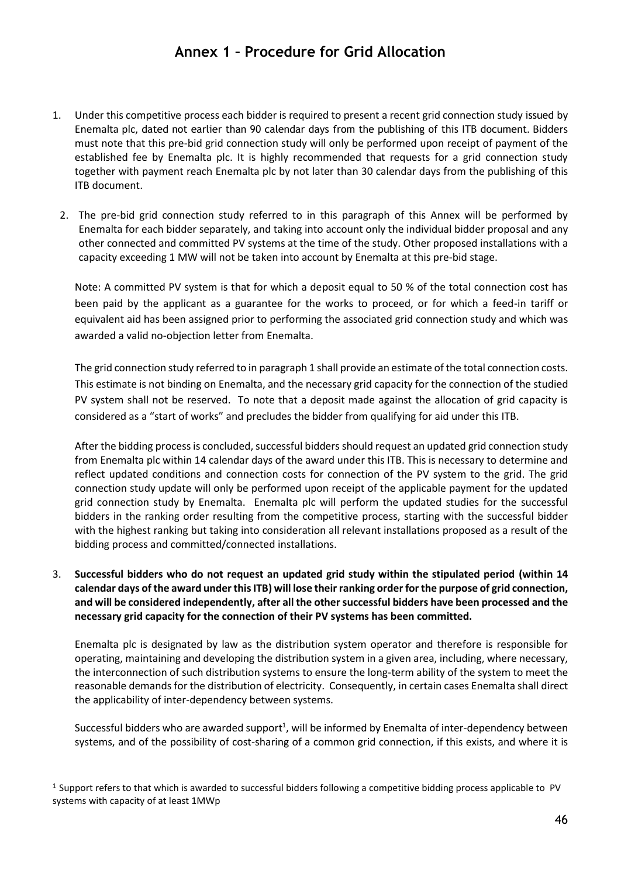# **Annex 1 – Procedure for Grid Allocation**

- <span id="page-46-0"></span>1. Under this competitive process each bidder is required to present a recent grid connection study issued by Enemalta plc, dated not earlier than 90 calendar days from the publishing of this ITB document. Bidders must note that this pre-bid grid connection study will only be performed upon receipt of payment of the established fee by Enemalta plc. It is highly recommended that requests for a grid connection study together with payment reach Enemalta plc by not later than 30 calendar days from the publishing of this ITB document.
	- 2. The pre-bid grid connection study referred to in this paragraph of this Annex will be performed by Enemalta for each bidder separately, and taking into account only the individual bidder proposal and any other connected and committed PV systems at the time of the study. Other proposed installations with a capacity exceeding 1 MW will not be taken into account by Enemalta at this pre-bid stage.

Note: A committed PV system is that for which a deposit equal to 50 % of the total connection cost has been paid by the applicant as a guarantee for the works to proceed, or for which a feed-in tariff or equivalent aid has been assigned prior to performing the associated grid connection study and which was awarded a valid no-objection letter from Enemalta.

The grid connection study referred to in paragraph 1 shall provide an estimate of the total connection costs. This estimate is not binding on Enemalta, and the necessary grid capacity for the connection of the studied PV system shall not be reserved. To note that a deposit made against the allocation of grid capacity is considered as a "start of works" and precludes the bidder from qualifying for aid under this ITB.

After the bidding process is concluded, successful bidders should request an updated grid connection study from Enemalta plc within 14 calendar days of the award under this ITB. This is necessary to determine and reflect updated conditions and connection costs for connection of the PV system to the grid. The grid connection study update will only be performed upon receipt of the applicable payment for the updated grid connection study by Enemalta. Enemalta plc will perform the updated studies for the successful bidders in the ranking order resulting from the competitive process, starting with the successful bidder with the highest ranking but taking into consideration all relevant installations proposed as a result of the bidding process and committed/connected installations.

3. **Successful bidders who do not request an updated grid study within the stipulated period (within 14 calendar days of the award under this ITB) will lose their ranking order for the purpose of grid connection, and will be considered independently, after all the other successful bidders have been processed and the necessary grid capacity for the connection of their PV systems has been committed.**

Enemalta plc is designated by law as the distribution system operator and therefore is responsible for operating, maintaining and developing the distribution system in a given area, including, where necessary, the interconnection of such distribution systems to ensure the long-term ability of the system to meet the reasonable demands for the distribution of electricity. Consequently, in certain cases Enemalta shall direct the applicability of inter-dependency between systems.

Successful bidders who are awarded support<sup>1</sup>, will be informed by Enemalta of inter-dependency between systems, and of the possibility of cost-sharing of a common grid connection, if this exists, and where it is

<sup>1</sup> Support refers to that which is awarded to successful bidders following a competitive bidding process applicable to PV systems with capacity of at least 1MWp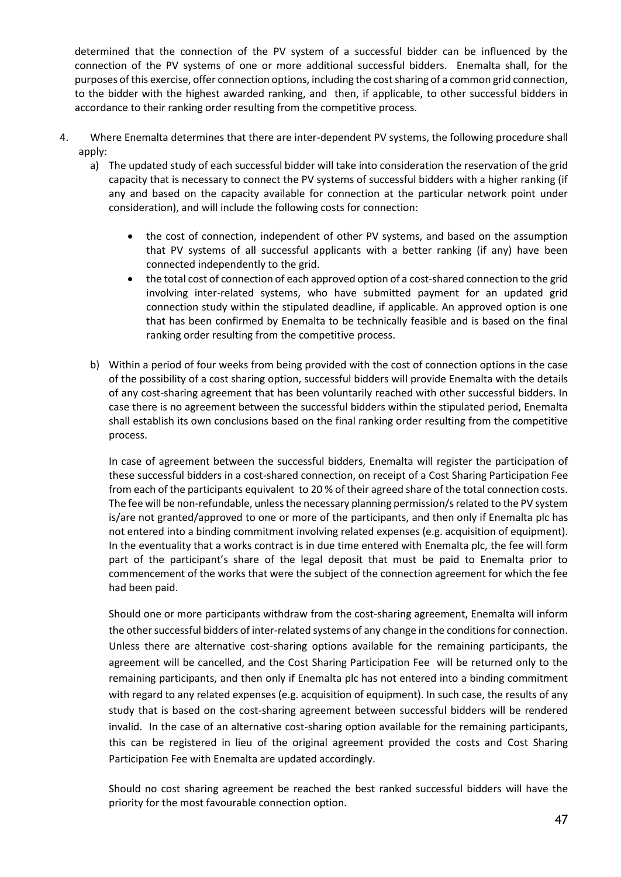determined that the connection of the PV system of a successful bidder can be influenced by the connection of the PV systems of one or more additional successful bidders. Enemalta shall, for the purposes of this exercise, offer connection options, including the cost sharing of a common grid connection, to the bidder with the highest awarded ranking, and then, if applicable, to other successful bidders in accordance to their ranking order resulting from the competitive process.

- 4. Where Enemalta determines that there are inter-dependent PV systems, the following procedure shall apply:
	- a) The updated study of each successful bidder will take into consideration the reservation of the grid capacity that is necessary to connect the PV systems of successful bidders with a higher ranking (if any and based on the capacity available for connection at the particular network point under consideration), and will include the following costs for connection:
		- the cost of connection, independent of other PV systems, and based on the assumption that PV systems of all successful applicants with a better ranking (if any) have been connected independently to the grid.
		- the total cost of connection of each approved option of a cost-shared connection to the grid involving inter-related systems, who have submitted payment for an updated grid connection study within the stipulated deadline, if applicable. An approved option is one that has been confirmed by Enemalta to be technically feasible and is based on the final ranking order resulting from the competitive process.
	- b) Within a period of four weeks from being provided with the cost of connection options in the case of the possibility of a cost sharing option, successful bidders will provide Enemalta with the details of any cost-sharing agreement that has been voluntarily reached with other successful bidders. In case there is no agreement between the successful bidders within the stipulated period, Enemalta shall establish its own conclusions based on the final ranking order resulting from the competitive process.

In case of agreement between the successful bidders, Enemalta will register the participation of these successful bidders in a cost-shared connection, on receipt of a Cost Sharing Participation Fee from each of the participants equivalent to 20 % of their agreed share of the total connection costs. The fee will be non-refundable, unless the necessary planning permission/s related to the PV system is/are not granted/approved to one or more of the participants, and then only if Enemalta plc has not entered into a binding commitment involving related expenses (e.g. acquisition of equipment). In the eventuality that a works contract is in due time entered with Enemalta plc, the fee will form part of the participant's share of the legal deposit that must be paid to Enemalta prior to commencement of the works that were the subject of the connection agreement for which the fee had been paid.

Should one or more participants withdraw from the cost-sharing agreement, Enemalta will inform the other successful bidders of inter-related systems of any change in the conditions for connection. Unless there are alternative cost-sharing options available for the remaining participants, the agreement will be cancelled, and the Cost Sharing Participation Fee will be returned only to the remaining participants, and then only if Enemalta plc has not entered into a binding commitment with regard to any related expenses (e.g. acquisition of equipment). In such case, the results of any study that is based on the cost-sharing agreement between successful bidders will be rendered invalid. In the case of an alternative cost-sharing option available for the remaining participants, this can be registered in lieu of the original agreement provided the costs and Cost Sharing Participation Fee with Enemalta are updated accordingly.

Should no cost sharing agreement be reached the best ranked successful bidders will have the priority for the most favourable connection option.